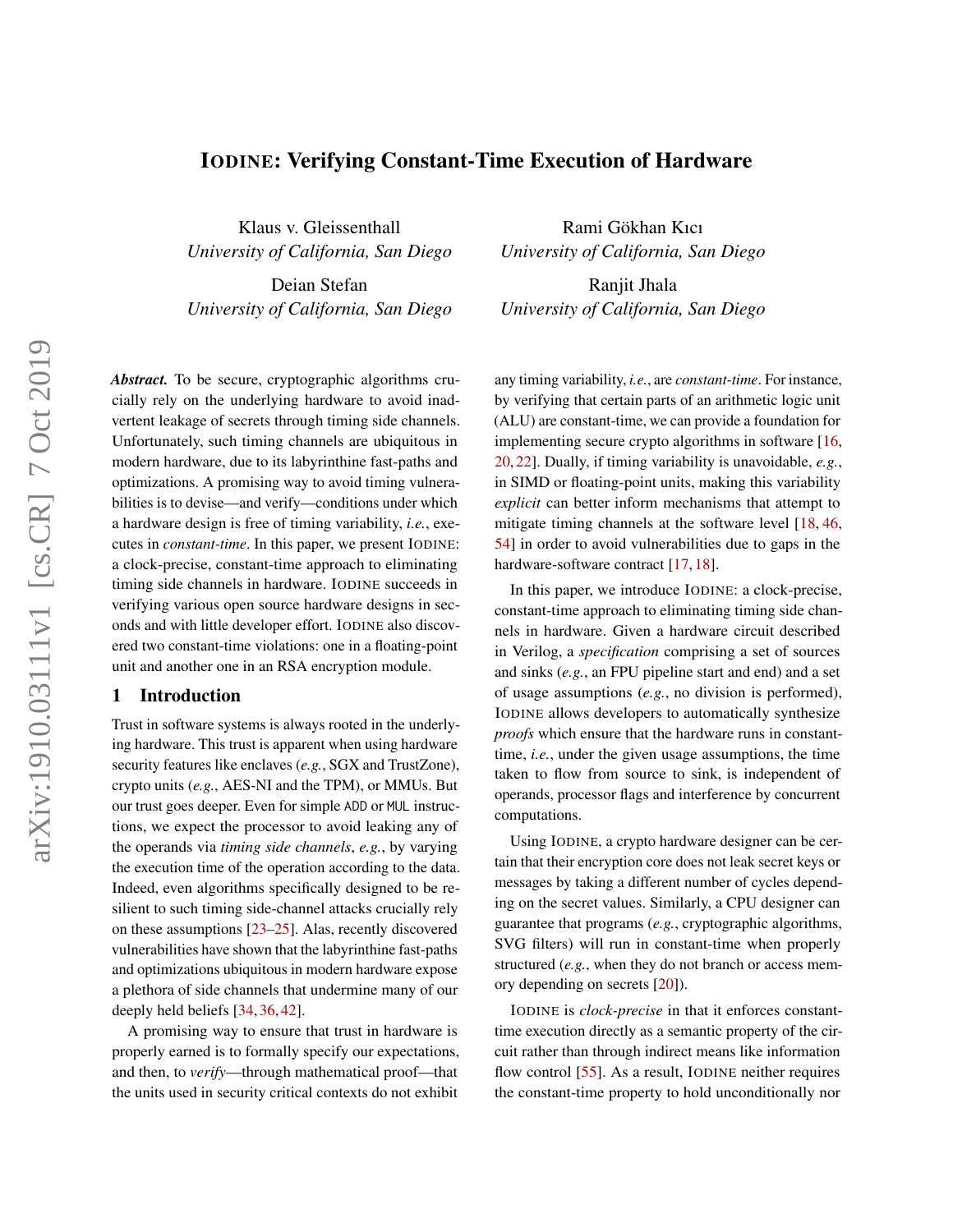# IODINE: Verifying Constant-Time Execution of Hardware

Klaus v. Gleissenthall *University of California, San Diego*

Deian Stefan *University of California, San Diego*

*Abstract.* To be secure, cryptographic algorithms crucially rely on the underlying hardware to avoid inadvertent leakage of secrets through timing side channels. Unfortunately, such timing channels are ubiquitous in modern hardware, due to its labyrinthine fast-paths and optimizations. A promising way to avoid timing vulnerabilities is to devise—and verify—conditions under which a hardware design is free of timing variability, *i.e.*, executes in *constant-time*. In this paper, we present IODINE: a clock-precise, constant-time approach to eliminating timing side channels in hardware. IODINE succeeds in verifying various open source hardware designs in seconds and with little developer effort. IODINE also discovered two constant-time violations: one in a floating-point unit and another one in an RSA encryption module.

### 1 Introduction

Trust in software systems is always rooted in the underlying hardware. This trust is apparent when using hardware security features like enclaves (*e.g.*, SGX and TrustZone), crypto units (*e.g.*, AES-NI and the TPM), or MMUs. But our trust goes deeper. Even for simple ADD or MUL instructions, we expect the processor to avoid leaking any of the operands via *timing side channels*, *e.g.*, by varying the execution time of the operation according to the data. Indeed, even algorithms specifically designed to be resilient to such timing side-channel attacks crucially rely on these assumptions [\[23](#page-14-0)[–25\]](#page-15-0). Alas, recently discovered vulnerabilities have shown that the labyrinthine fast-paths and optimizations ubiquitous in modern hardware expose a plethora of side channels that undermine many of our deeply held beliefs [\[34,](#page-15-1) [36,](#page-15-2) [42\]](#page-15-3).

A promising way to ensure that trust in hardware is properly earned is to formally specify our expectations, and then, to *verify*—through mathematical proof—that the units used in security critical contexts do not exhibit

Rami Gökhan Kıcı *University of California, San Diego*

Ranjit Jhala *University of California, San Diego*

any timing variability, *i.e.*, are *constant-time*. For instance, by verifying that certain parts of an arithmetic logic unit (ALU) are constant-time, we can provide a foundation for implementing secure crypto algorithms in software [\[16,](#page-14-1) [20,](#page-14-2) [22\]](#page-14-3). Dually, if timing variability is unavoidable, *e.g.*, in SIMD or floating-point units, making this variability *explicit* can better inform mechanisms that attempt to mitigate timing channels at the software level [\[18,](#page-14-4) [46,](#page-15-4) [54\]](#page-16-0) in order to avoid vulnerabilities due to gaps in the hardware-software contract [\[17,](#page-14-5) [18\]](#page-14-4).

In this paper, we introduce IODINE: a clock-precise, constant-time approach to eliminating timing side channels in hardware. Given a hardware circuit described in Verilog, a *specification* comprising a set of sources and sinks (*e.g.*, an FPU pipeline start and end) and a set of usage assumptions (*e.g.*, no division is performed), IODINE allows developers to automatically synthesize *proofs* which ensure that the hardware runs in constanttime, *i.e.*, under the given usage assumptions, the time taken to flow from source to sink, is independent of operands, processor flags and interference by concurrent computations.

Using IODINE, a crypto hardware designer can be certain that their encryption core does not leak secret keys or messages by taking a different number of cycles depending on the secret values. Similarly, a CPU designer can guarantee that programs (*e.g.*, cryptographic algorithms, SVG filters) will run in constant-time when properly structured (*e.g.*, when they do not branch or access memory depending on secrets [\[20\]](#page-14-2)).

IODINE is *clock-precise* in that it enforces constanttime execution directly as a semantic property of the circuit rather than through indirect means like information flow control [\[55\]](#page-16-1). As a result, IODINE neither requires the constant-time property to hold unconditionally nor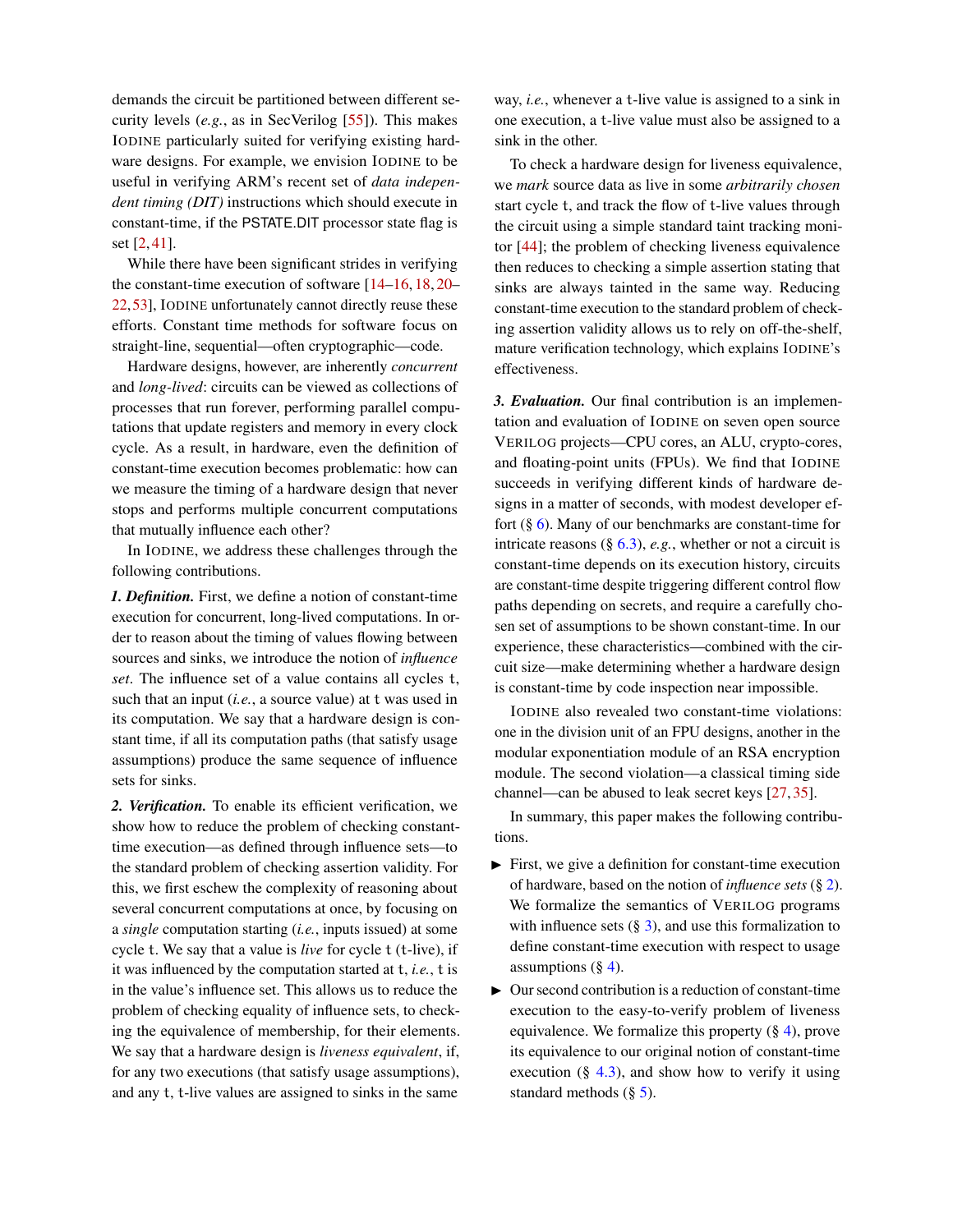demands the circuit be partitioned between different security levels (*e.g.*, as in SecVerilog [\[55\]](#page-16-1)). This makes IODINE particularly suited for verifying existing hardware designs. For example, we envision IODINE to be useful in verifying ARM's recent set of *data independent timing (DIT)* instructions which should execute in constant-time, if the PSTATE.DIT processor state flag is set [\[2,](#page-14-6) [41\]](#page-15-5).

While there have been significant strides in verifying the constant-time execution of software [\[14–](#page-14-7)[16,](#page-14-1) [18,](#page-14-4) [20–](#page-14-2) [22,](#page-14-3)[53\]](#page-16-2), IODINE unfortunately cannot directly reuse these efforts. Constant time methods for software focus on straight-line, sequential—often cryptographic—code.

Hardware designs, however, are inherently *concurrent* and *long-lived*: circuits can be viewed as collections of processes that run forever, performing parallel computations that update registers and memory in every clock cycle. As a result, in hardware, even the definition of constant-time execution becomes problematic: how can we measure the timing of a hardware design that never stops and performs multiple concurrent computations that mutually influence each other?

In IODINE, we address these challenges through the following contributions.

*1. Definition.* First, we define a notion of constant-time execution for concurrent, long-lived computations. In order to reason about the timing of values flowing between sources and sinks, we introduce the notion of *influence set*. The influence set of a value contains all cycles t, such that an input (*i.e.*, a source value) at t was used in its computation. We say that a hardware design is constant time, if all its computation paths (that satisfy usage assumptions) produce the same sequence of influence sets for sinks.

*2. Verification.* To enable its efficient verification, we show how to reduce the problem of checking constanttime execution—as defined through influence sets—to the standard problem of checking assertion validity. For this, we first eschew the complexity of reasoning about several concurrent computations at once, by focusing on a *single* computation starting (*i.e.*, inputs issued) at some cycle t. We say that a value is *live* for cycle t (t-live), if it was influenced by the computation started at t, *i.e.*, t is in the value's influence set. This allows us to reduce the problem of checking equality of influence sets, to checking the equivalence of membership, for their elements. We say that a hardware design is *liveness equivalent*, if, for any two executions (that satisfy usage assumptions), and any t, t-live values are assigned to sinks in the same

way, *i.e.*, whenever a t-live value is assigned to a sink in one execution, a t-live value must also be assigned to a sink in the other.

To check a hardware design for liveness equivalence, we *mark* source data as live in some *arbitrarily chosen* start cycle t, and track the flow of t-live values through the circuit using a simple standard taint tracking monitor [\[44\]](#page-15-6); the problem of checking liveness equivalence then reduces to checking a simple assertion stating that sinks are always tainted in the same way. Reducing constant-time execution to the standard problem of checking assertion validity allows us to rely on off-the-shelf, mature verification technology, which explains IODINE's effectiveness.

*3. Evaluation.* Our final contribution is an implementation and evaluation of IODINE on seven open source VERILOG projects—CPU cores, an ALU, crypto-cores, and floating-point units (FPUs). We find that IODINE succeeds in verifying different kinds of hardware designs in a matter of seconds, with modest developer effort  $(\S 6)$  $(\S 6)$ . Many of our benchmarks are constant-time for intricate reasons  $(\S 6.3)$  $(\S 6.3)$ , *e.g.*, whether or not a circuit is constant-time depends on its execution history, circuits are constant-time despite triggering different control flow paths depending on secrets, and require a carefully chosen set of assumptions to be shown constant-time. In our experience, these characteristics—combined with the circuit size—make determining whether a hardware design is constant-time by code inspection near impossible.

IODINE also revealed two constant-time violations: one in the division unit of an FPU designs, another in the modular exponentiation module of an RSA encryption module. The second violation—a classical timing side channel—can be abused to leak secret keys [\[27,](#page-15-7) [35\]](#page-15-8).

In summary, this paper makes the following contributions.

- $\blacktriangleright$  First, we give a definition for constant-time execution of hardware, based on the notion of *influence sets* (§ [2\)](#page-2-0). We formalize the semantics of VERILOG programs with influence sets  $(\S 3)$  $(\S 3)$ , and use this formalization to define constant-time execution with respect to usage assumptions  $(\S 4)$  $(\S 4)$ .
- $\triangleright$  Our second contribution is a reduction of constant-time execution to the easy-to-verify problem of liveness equivalence. We formalize this property (§ [4\)](#page-8-0), prove its equivalence to our original notion of constant-time execution  $(\S$  [4.3\)](#page-8-1), and show how to verify it using standard methods  $(\S 5)$  $(\S 5)$ .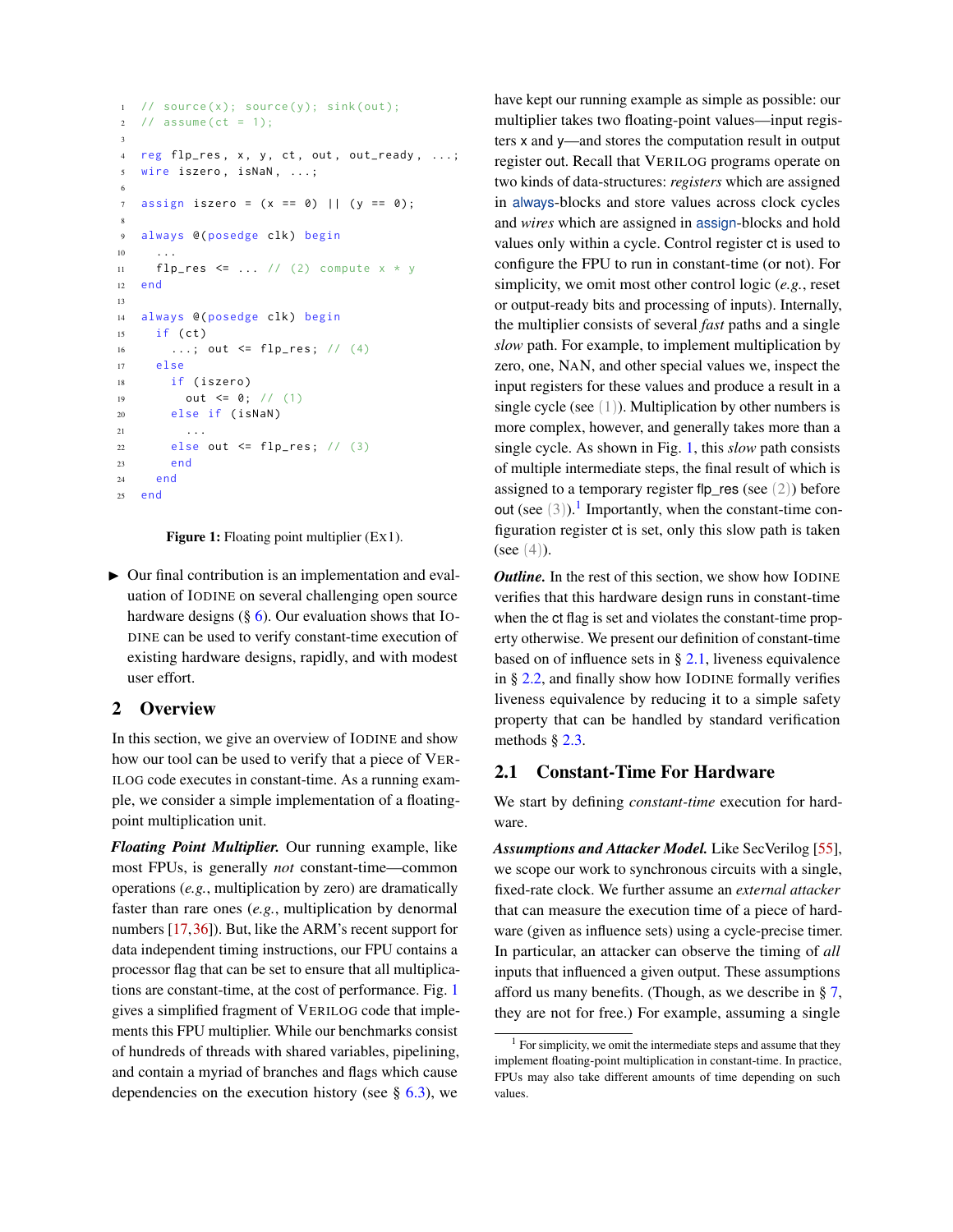```
1 / source (x); source (y); sink (out);
2 / / assume (ct = 1);
3
4 reg flp_res, x, y, ct, out, out_ready, ...;
5 wire iszero , isNaN , ...;
6
7 assign iszero = (x == 0) || (y == 0);8
9 always @( posedge clk) begin
10 ...
11 flp_res \leq ... // (2) compute x * y12 end
13
14 always @( posedge clk) begin
15 if (ct)
16 ...; out \leq flp_res; // (4)
17 else
18 if ( iszero )
19 out <= 0; // (1)
20 else if ( isNaN )
21 . . .
22 else out \leq flp_res; // (3)
23 end
24 end
25 end
```
Figure 1: Floating point multiplier (EX1).

 $\triangleright$  Our final contribution is an implementation and evaluation of IODINE on several challenging open source hardware designs  $(\S 6)$  $(\S 6)$ . Our evaluation shows that IO-DINE can be used to verify constant-time execution of existing hardware designs, rapidly, and with modest user effort.

## <span id="page-2-0"></span>2 Overview

In this section, we give an overview of IODINE and show how our tool can be used to verify that a piece of VER-ILOG code executes in constant-time. As a running example, we consider a simple implementation of a floatingpoint multiplication unit.

*Floating Point Multiplier.* Our running example, like most FPUs, is generally *not* constant-time—common operations (*e.g.*, multiplication by zero) are dramatically faster than rare ones (*e.g.*, multiplication by denormal numbers [\[17,](#page-14-5)[36\]](#page-15-2)). But, like the ARM's recent support for data independent timing instructions, our FPU contains a processor flag that can be set to ensure that all multiplications are constant-time, at the cost of performance. Fig. [1](#page-2-1) gives a simplified fragment of VERILOG code that implements this FPU multiplier. While our benchmarks consist of hundreds of threads with shared variables, pipelining, and contain a myriad of branches and flags which cause dependencies on the execution history (see  $\S$  [6.3\)](#page-11-0), we

have kept our running example as simple as possible: our multiplier takes two floating-point values—input registers x and y—and stores the computation result in output register out. Recall that VERILOG programs operate on two kinds of data-structures: *registers* which are assigned in always-blocks and store values across clock cycles and *wires* which are assigned in assign-blocks and hold values only within a cycle. Control register ct is used to configure the FPU to run in constant-time (or not). For simplicity, we omit most other control logic (*e.g.*, reset or output-ready bits and processing of inputs). Internally, the multiplier consists of several *fast* paths and a single *slow* path. For example, to implement multiplication by zero, one, NAN, and other special values we, inspect the input registers for these values and produce a result in a single cycle (see  $(1)$ ). Multiplication by other numbers is more complex, however, and generally takes more than a single cycle. As shown in Fig. [1,](#page-2-1) this *slow* path consists of multiple intermediate steps, the final result of which is assigned to a temporary register flp\_res (see  $(2)$ ) before out (see  $(3)$ ).<sup>[1](#page-2-2)</sup> Importantly, when the constant-time configuration register ct is set, only this slow path is taken (see  $(4)$ ).

*Outline.* In the rest of this section, we show how IODINE verifies that this hardware design runs in constant-time when the ct flag is set and violates the constant-time property otherwise. We present our definition of constant-time based on of influence sets in § [2.1,](#page-2-3) liveness equivalence in § [2.2,](#page-4-0) and finally show how IODINE formally verifies liveness equivalence by reducing it to a simple safety property that can be handled by standard verification methods § [2.3.](#page-5-0)

### <span id="page-2-3"></span>2.1 Constant-Time For Hardware

We start by defining *constant-time* execution for hardware.

*Assumptions and Attacker Model.* Like SecVerilog [\[55\]](#page-16-1), we scope our work to synchronous circuits with a single, fixed-rate clock. We further assume an *external attacker* that can measure the execution time of a piece of hardware (given as influence sets) using a cycle-precise timer. In particular, an attacker can observe the timing of *all* inputs that influenced a given output. These assumptions afford us many benefits. (Though, as we describe in § [7,](#page-12-0) they are not for free.) For example, assuming a single

<span id="page-2-2"></span> $1$  For simplicity, we omit the intermediate steps and assume that they implement floating-point multiplication in constant-time. In practice, FPUs may also take different amounts of time depending on such values.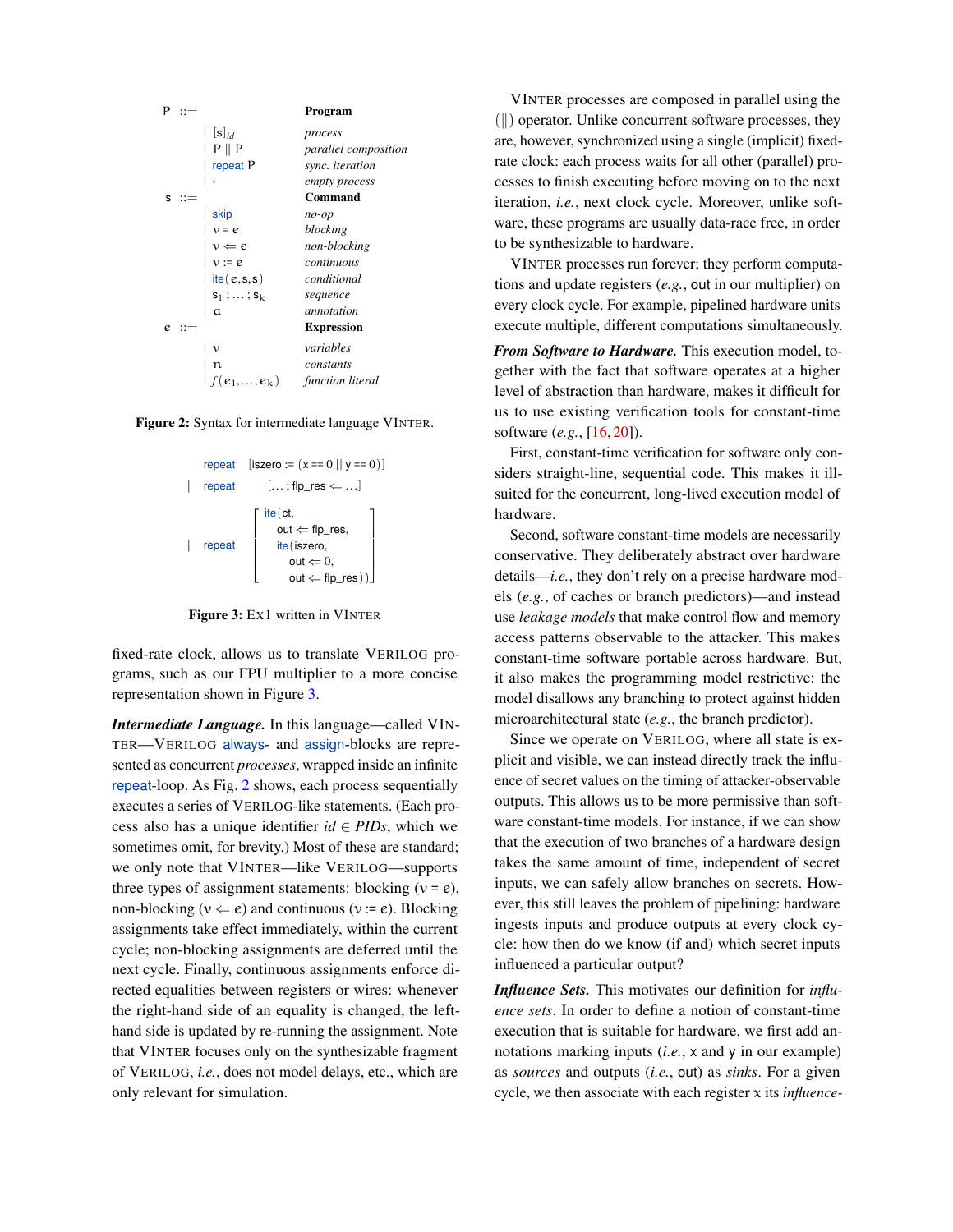<span id="page-3-1"></span>

<span id="page-3-0"></span>Figure 2: Syntax for intermediate language VINTER.



Figure 3: EX1 written in VINTER

fixed-rate clock, allows us to translate VERILOG programs, such as our FPU multiplier to a more concise representation shown in Figure [3.](#page-3-0)

*Intermediate Language.* In this language—called VIN-TER—VERILOG always- and assign-blocks are represented as concurrent *processes*, wrapped inside an infinite repeat-loop. As Fig. [2](#page-3-1) shows, each process sequentially executes a series of VERILOG-like statements. (Each process also has a unique identifier  $id \in PIDs$ , which we sometimes omit, for brevity.) Most of these are standard; we only note that VINTER—like VERILOG—supports three types of assignment statements: blocking  $(v = e)$ , non-blocking ( $v \Leftarrow e$ ) and continuous ( $v := e$ ). Blocking assignments take effect immediately, within the current cycle; non-blocking assignments are deferred until the next cycle. Finally, continuous assignments enforce directed equalities between registers or wires: whenever the right-hand side of an equality is changed, the lefthand side is updated by re-running the assignment. Note that VINTER focuses only on the synthesizable fragment of VERILOG, *i.e.*, does not model delays, etc., which are only relevant for simulation.

VINTER processes are composed in parallel using the  $(\|)$  operator. Unlike concurrent software processes, they are, however, synchronized using a single (implicit) fixedrate clock: each process waits for all other (parallel) processes to finish executing before moving on to the next iteration, *i.e.*, next clock cycle. Moreover, unlike software, these programs are usually data-race free, in order to be synthesizable to hardware.

VINTER processes run forever; they perform computations and update registers (*e.g.*, out in our multiplier) on every clock cycle. For example, pipelined hardware units execute multiple, different computations simultaneously.

*From Software to Hardware.* This execution model, together with the fact that software operates at a higher level of abstraction than hardware, makes it difficult for us to use existing verification tools for constant-time software (*e.g.*, [\[16,](#page-14-1) [20\]](#page-14-2)).

First, constant-time verification for software only considers straight-line, sequential code. This makes it illsuited for the concurrent, long-lived execution model of hardware.

Second, software constant-time models are necessarily conservative. They deliberately abstract over hardware details—*i.e.*, they don't rely on a precise hardware models (*e.g.*, of caches or branch predictors)—and instead use *leakage models* that make control flow and memory access patterns observable to the attacker. This makes constant-time software portable across hardware. But, it also makes the programming model restrictive: the model disallows any branching to protect against hidden microarchitectural state (*e.g.*, the branch predictor).

Since we operate on VERILOG, where all state is explicit and visible, we can instead directly track the influence of secret values on the timing of attacker-observable outputs. This allows us to be more permissive than software constant-time models. For instance, if we can show that the execution of two branches of a hardware design takes the same amount of time, independent of secret inputs, we can safely allow branches on secrets. However, this still leaves the problem of pipelining: hardware ingests inputs and produce outputs at every clock cycle: how then do we know (if and) which secret inputs influenced a particular output?

*Influence Sets.* This motivates our definition for *influence sets*. In order to define a notion of constant-time execution that is suitable for hardware, we first add annotations marking inputs (*i.e.*, x and y in our example) as *sources* and outputs (*i.e.*, out) as *sinks*. For a given cycle, we then associate with each register x its *influence-*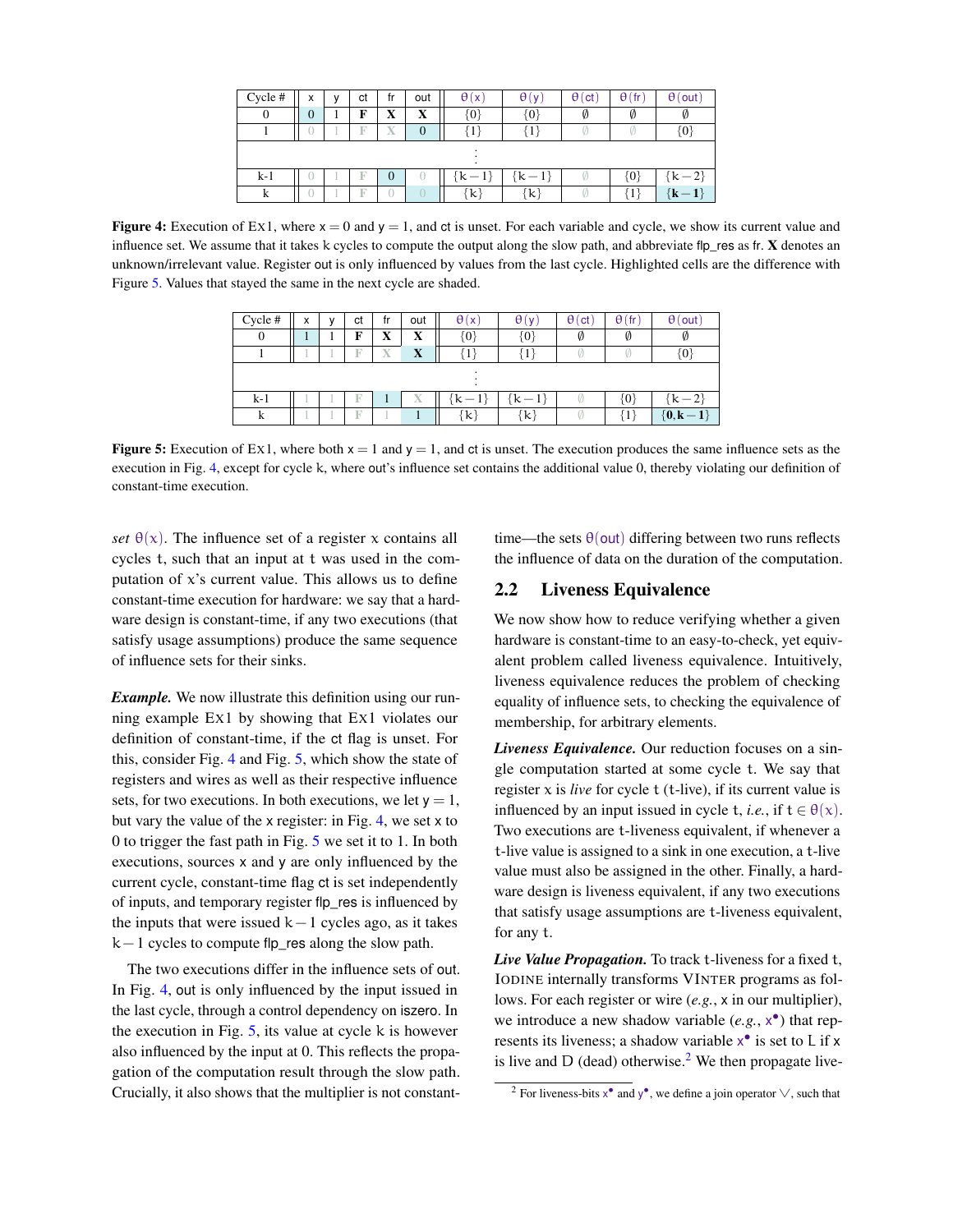<span id="page-4-2"></span>

| Cycle# | x              | v | ct | fr               | out            | $\theta(x)$ | $\theta(y)$   | $\theta$ (ct) | $\theta$ (fr)               | $\theta$ (out) |
|--------|----------------|---|----|------------------|----------------|-------------|---------------|---------------|-----------------------------|----------------|
| 0      | $\overline{0}$ |   | F  | X                | X              | $\{0\}$     | $\{0\}$       | Ø             | Ø                           | Ø              |
|        |                |   | R  | X                | $\overline{0}$ | {1}         | {1}           |               |                             | $\{0\}$        |
|        |                |   |    |                  |                |             |               |               |                             |                |
| $k-1$  |                |   |    | $\boldsymbol{0}$ |                | $k -$       | ${k-1}$       |               | $\{0\}$                     | $\{k\!-\!2\}$  |
| k      |                |   | R  |                  |                | {k}         | $\{{\bf k}\}$ |               | $\left\{ \right. 1\right\}$ | $\{k-1\}$      |

<span id="page-4-1"></span>Figure 4: Execution of Ex1, where  $x = 0$  and  $y = 1$ , and ct is unset. For each variable and cycle, we show its current value and influence set. We assume that it takes k cycles to compute the output along the slow path, and abbreviate flp\_res as fr. X denotes an unknown/irrelevant value. Register out is only influenced by values from the last cycle. Highlighted cells are the difference with Figure [5.](#page-4-1) Values that stayed the same in the next cycle are shaded.

| Cycle #  | x | ν | ct | fr | out         | $\theta(x)$                  | $\theta(v)$                  | $\theta$ (ct) | $\theta$ (fr) | $\theta$ (out) |
|----------|---|---|----|----|-------------|------------------------------|------------------------------|---------------|---------------|----------------|
| $\theta$ |   |   | F  | X  | X           | $\{0\}$                      | $\{0\}$                      | Ø             | Ø             |                |
|          |   |   | F  | X  | $\mathbf X$ | $\left\lceil 1 \right\rceil$ | $\left\lceil 1 \right\rceil$ |               |               | $\{0\}$        |
|          |   |   |    |    |             |                              |                              |               |               |                |
| $k-1$    |   |   |    |    | X           | $k-1$                        | $\{k-1\}$                    |               | {0}           | $\{k-2\}$      |
| k        |   |   | F  |    |             | $\{{\bf k}\}$                | $\{\mathbf k\}$              |               | {1`           | ${0, k-1}$     |

Figure 5: Execution of Ex1, where both  $x = 1$  and  $y = 1$ , and ct is unset. The execution produces the same influence sets as the execution in Fig. [4,](#page-4-2) except for cycle k, where out's influence set contains the additional value 0, thereby violating our definition of constant-time execution.

*set*  $\theta(x)$ . The influence set of a register x contains all cycles t, such that an input at t was used in the computation of  $x$ 's current value. This allows us to define constant-time execution for hardware: we say that a hardware design is constant-time, if any two executions (that satisfy usage assumptions) produce the same sequence of influence sets for their sinks.

*Example.* We now illustrate this definition using our running example EX1 by showing that EX1 violates our definition of constant-time, if the ct flag is unset. For this, consider Fig. [4](#page-4-2) and Fig. [5,](#page-4-1) which show the state of registers and wires as well as their respective influence sets, for two executions. In both executions, we let  $y = 1$ , but vary the value of the x register: in Fig. [4,](#page-4-2) we set x to 0 to trigger the fast path in Fig. [5](#page-4-1) we set it to 1. In both executions, sources x and y are only influenced by the current cycle, constant-time flag ct is set independently of inputs, and temporary register flp\_res is influenced by the inputs that were issued  $k-1$  cycles ago, as it takes  $k-1$  cycles to compute flp\_res along the slow path.

The two executions differ in the influence sets of out. In Fig. [4,](#page-4-2) out is only influenced by the input issued in the last cycle, through a control dependency on iszero. In the execution in Fig.  $5$ , its value at cycle k is however also influenced by the input at 0. This reflects the propagation of the computation result through the slow path. Crucially, it also shows that the multiplier is not constanttime—the sets  $\theta$ (out) differing between two runs reflects the influence of data on the duration of the computation.

## <span id="page-4-0"></span>2.2 Liveness Equivalence

We now show how to reduce verifying whether a given hardware is constant-time to an easy-to-check, yet equivalent problem called liveness equivalence. Intuitively, liveness equivalence reduces the problem of checking equality of influence sets, to checking the equivalence of membership, for arbitrary elements.

*Liveness Equivalence.* Our reduction focuses on a single computation started at some cycle t. We say that register  $x$  is *live* for cycle  $t$  ( $t$ -live), if its current value is influenced by an input issued in cycle t, *i.e.*, if  $t \in \theta(x)$ . Two executions are t-liveness equivalent, if whenever a t-live value is assigned to a sink in one execution, a t-live value must also be assigned in the other. Finally, a hardware design is liveness equivalent, if any two executions that satisfy usage assumptions are t-liveness equivalent, for any t.

*Live Value Propagation.* To track t-liveness for a fixed t, IODINE internally transforms VINTER programs as follows. For each register or wire (*e.g.*, x in our multiplier), we introduce a new shadow variable (e.g.,  $x^{\bullet}$ ) that represents its liveness; a shadow variable  $x^{\bullet}$  is set to L if x is live and  $D$  (dead) otherwise.<sup>[2](#page-4-3)</sup> We then propagate live-

<span id="page-4-3"></span><sup>&</sup>lt;sup>2</sup> For liveness-bits  $x^{\bullet}$  and  $y^{\bullet}$ , we define a join operator  $\vee$ , such that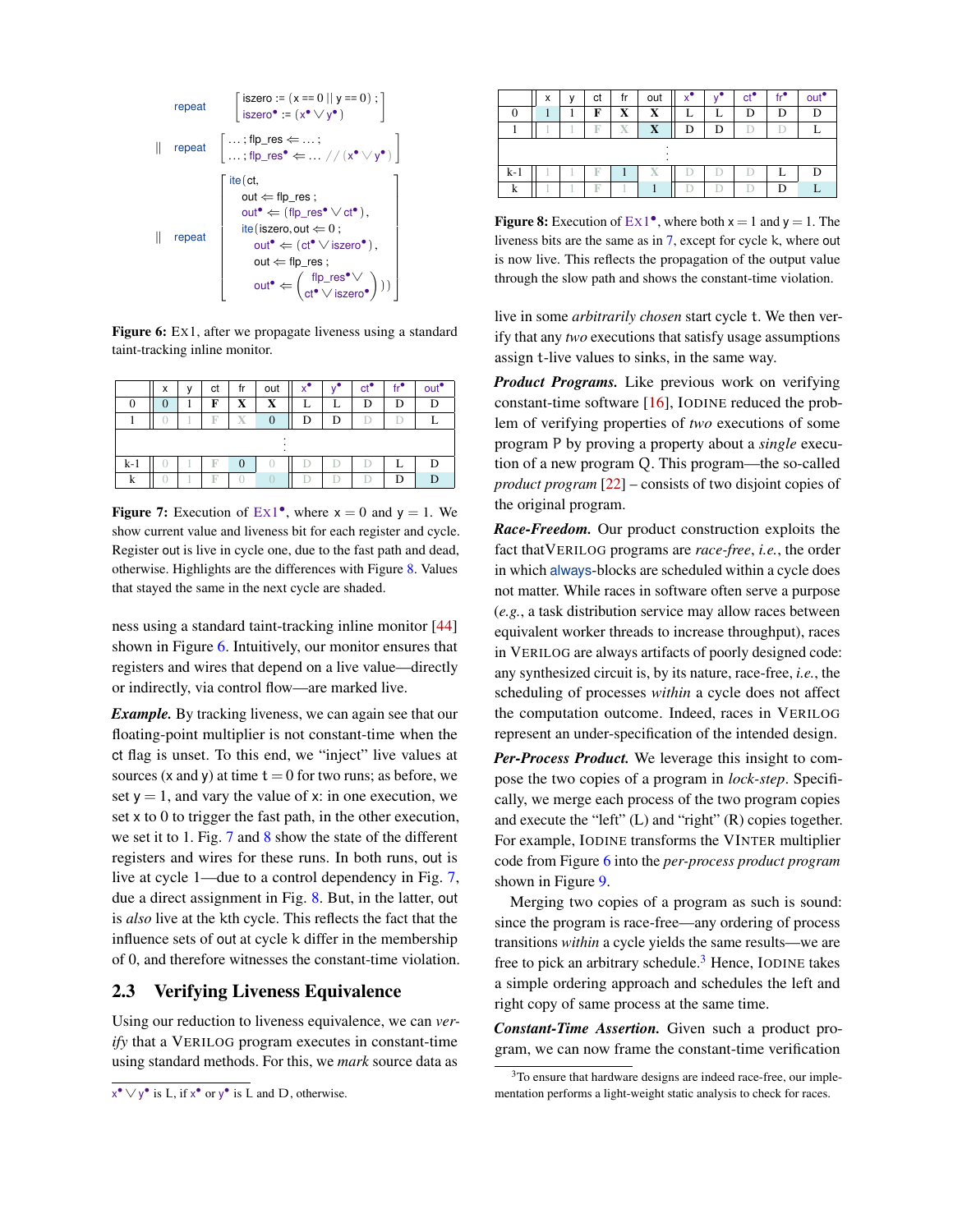<span id="page-5-2"></span>
$$
\begin{array}{c} \text{repeat} \\[1ex] \left[\begin{array}{c} \text{iszero} := (x == 0 \, || \, y == 0) \, ; \end{array}\right] \\[1ex] \left[\begin{array}{c} \text{repeat} \\[1ex] \text{repeat} \end{array}\right] \left[\begin{array}{c} \dots \, ; \text{flp\_res} \leftarrow \dots \, ; \\\\ \dots \, ; \text{flp\_res}^{\bullet} \leftarrow \dots \, // \, (x^{\bullet} \vee y^{\bullet}) \end{array}\right] \right] \\[1ex] \left[\begin{array}{c} \text{ite}(\text{ct}, \\[1ex] \text{out} \leftarrow \text{flp\_res} \, ; \\\\[1ex] \text{out}^{\bullet} \leftarrow (\text{flp\_res}^{\bullet} \vee \text{ct}^{\bullet}), \\\\[1ex] \text{ite}(\text{iszero}, \text{out} \leftarrow 0 \, ; \\\\[1ex] \text{out}^{\bullet} \leftarrow (\text{ct}^{\bullet} \vee \text{iszero}^{\bullet}), \\\\[1ex] \text{out}^{\bullet} \leftarrow \left(\text{flp\_res}^{\bullet} \vee \right) \end{array}\right) \right)\right] \end{array}
$$

Figure 6: Ex1, after we propagate liveness using a standard taint-tracking inline monitor.

<span id="page-5-3"></span>

|          | x |  | ct | fr             | out |   |  | сť | out <sup>e</sup> |
|----------|---|--|----|----------------|-----|---|--|----|------------------|
| $\theta$ | 0 |  | F  | X              | X   |   |  | D  | D                |
|          |   |  | в  | Х              |     | D |  |    |                  |
|          |   |  |    |                |     |   |  |    |                  |
| $k-1$    |   |  | F  | $\overline{0}$ |     |   |  |    |                  |
| k        |   |  | F  |                |     |   |  |    |                  |

Figure 7: Execution of  $Ex1^{\bullet}$ , where  $x = 0$  and  $y = 1$ . We show current value and liveness bit for each register and cycle. Register out is live in cycle one, due to the fast path and dead, otherwise. Highlights are the differences with Figure [8.](#page-5-1) Values that stayed the same in the next cycle are shaded.

ness using a standard taint-tracking inline monitor [\[44\]](#page-15-6) shown in Figure [6.](#page-5-2) Intuitively, our monitor ensures that registers and wires that depend on a live value—directly or indirectly, via control flow—are marked live.

*Example.* By tracking liveness, we can again see that our floating-point multiplier is not constant-time when the ct flag is unset. To this end, we "inject" live values at sources (x and y) at time  $t = 0$  for two runs; as before, we set  $y = 1$ , and vary the value of x: in one execution, we set x to 0 to trigger the fast path, in the other execution, we set it to 1. Fig. [7](#page-5-3) and [8](#page-5-1) show the state of the different registers and wires for these runs. In both runs, out is live at cycle 1—due to a control dependency in Fig. [7,](#page-5-3) due a direct assignment in Fig. [8.](#page-5-1) But, in the latter, out is *also* live at the kth cycle. This reflects the fact that the influence sets of out at cycle k differ in the membership of 0, and therefore witnesses the constant-time violation.

## <span id="page-5-0"></span>2.3 Verifying Liveness Equivalence

Using our reduction to liveness equivalence, we can *verify* that a VERILOG program executes in constant-time using standard methods. For this, we *mark* source data as

<span id="page-5-1"></span>

|       | X | сt | fr | out         |   |   | $ct^{\bullet}$ | $\mathsf{fr}^{\bullet}$ | out <sup>•</sup> |
|-------|---|----|----|-------------|---|---|----------------|-------------------------|------------------|
|       |   | F  | X  | X           |   |   |                |                         | D                |
|       |   | F  | X  | $\mathbf X$ | D | D |                |                         |                  |
|       |   |    |    |             |   |   |                |                         |                  |
|       |   |    |    |             |   |   |                |                         |                  |
| $k-1$ |   |    |    | Х           |   |   |                |                         | D                |
| k     |   | F  |    |             |   |   |                |                         |                  |

**Figure 8:** Execution of  $Ex1^{\bullet}$ , where both  $x = 1$  and  $y = 1$ . The liveness bits are the same as in [7,](#page-5-3) except for cycle k, where out is now live. This reflects the propagation of the output value through the slow path and shows the constant-time violation.

live in some *arbitrarily chosen* start cycle t. We then verify that any *two* executions that satisfy usage assumptions assign t-live values to sinks, in the same way.

*Product Programs.* Like previous work on verifying constant-time software [\[16\]](#page-14-1), IODINE reduced the problem of verifying properties of *two* executions of some program P by proving a property about a *single* execution of a new program Q. This program—the so-called *product program* [\[22\]](#page-14-3) – consists of two disjoint copies of the original program.

*Race-Freedom.* Our product construction exploits the fact thatVERILOG programs are *race-free*, *i.e.*, the order in which always-blocks are scheduled within a cycle does not matter. While races in software often serve a purpose (*e.g.*, a task distribution service may allow races between equivalent worker threads to increase throughput), races in VERILOG are always artifacts of poorly designed code: any synthesized circuit is, by its nature, race-free, *i.e.*, the scheduling of processes *within* a cycle does not affect the computation outcome. Indeed, races in VERILOG represent an under-specification of the intended design.

*Per-Process Product.* We leverage this insight to compose the two copies of a program in *lock-step*. Specifically, we merge each process of the two program copies and execute the "left" (L) and "right" (R) copies together. For example, IODINE transforms the VINTER multiplier code from Figure [6](#page-5-2) into the *per-process product program* shown in Figure [9.](#page-6-1)

Merging two copies of a program as such is sound: since the program is race-free—any ordering of process transitions *within* a cycle yields the same results—we are free to pick an arbitrary schedule.<sup>[3](#page-5-4)</sup> Hence, IODINE takes a simple ordering approach and schedules the left and right copy of same process at the same time.

*Constant-Time Assertion.* Given such a product program, we can now frame the constant-time verification

 $x^{\bullet} \vee y^{\bullet}$  is L, if  $x^{\bullet}$  or  $y^{\bullet}$  is L and D, otherwise.

<span id="page-5-4"></span><sup>&</sup>lt;sup>3</sup>To ensure that hardware designs are indeed race-free, our implementation performs a light-weight static analysis to check for races.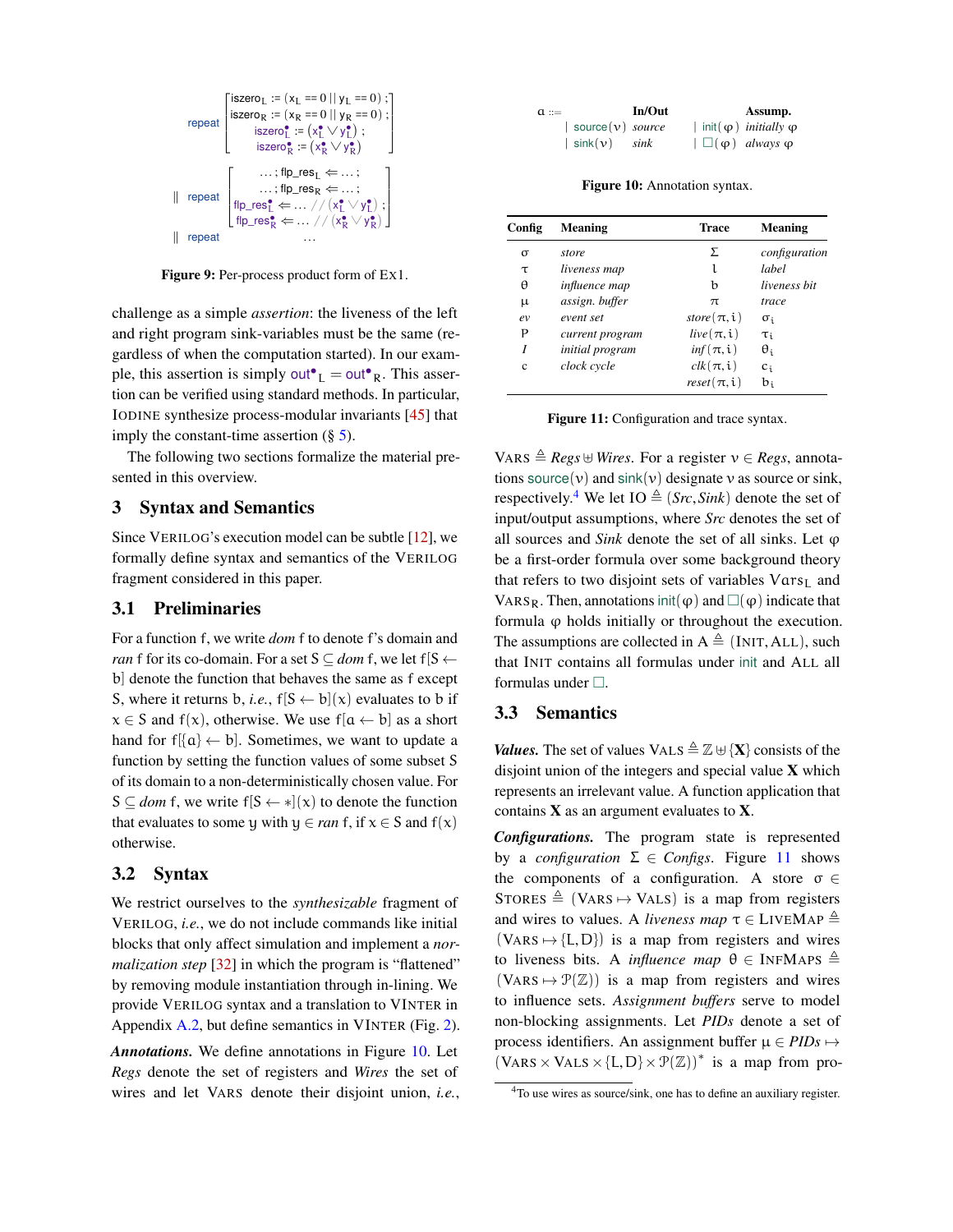<span id="page-6-1"></span>

Figure 9: Per-process product form of Ex1.

challenge as a simple *assertion*: the liveness of the left and right program sink-variables must be the same (regardless of when the computation started). In our example, this assertion is simply out<sup> $\bullet$ </sup><sub>L</sub> = out<sup> $\bullet$ </sup><sub>R</sub>. This assertion can be verified using standard methods. In particular, IODINE synthesize process-modular invariants [\[45\]](#page-15-9) that imply the constant-time assertion  $(\S 5)$  $(\S 5)$ .

The following two sections formalize the material presented in this overview.

### <span id="page-6-0"></span>3 Syntax and Semantics

Since VERILOG's execution model can be subtle [\[12\]](#page-14-8), we formally define syntax and semantics of the VERILOG fragment considered in this paper.

### 3.1 Preliminaries

For a function f, we write *dom* f to denote f's domain and *ran* f for its co-domain. For a set  $S \subseteq$  *dom* f, we let f[S  $\leftarrow$ b] denote the function that behaves the same as f except S, where it returns b, *i.e.*,  $f[S \leftarrow b](x)$  evaluates to b if  $x \in S$  and  $f(x)$ , otherwise. We use  $f[a \leftarrow b]$  as a short hand for  $f[\{a\} \leftarrow b]$ . Sometimes, we want to update a function by setting the function values of some subset S of its domain to a non-deterministically chosen value. For  $S \subseteq$  *dom* f, we write f[ $S \leftarrow \ast$ ](x) to denote the function that evaluates to some y with  $y \in ran f$ , if  $x \in S$  and  $f(x)$ otherwise.

## 3.2 Syntax

We restrict ourselves to the *synthesizable* fragment of VERILOG, *i.e.*, we do not include commands like initial blocks that only affect simulation and implement a *normalization step* [\[32\]](#page-15-10) in which the program is "flattened" by removing module instantiation through in-lining. We provide VERILOG syntax and a translation to VINTER in Appendix [A.2,](#page-16-3) but define semantics in VINTER (Fig. [2\)](#page-3-1).

*Annotations.* We define annotations in Figure [10.](#page-6-2) Let *Regs* denote the set of registers and *Wires* the set of wires and let VARS denote their disjoint union, *i.e.*,

<span id="page-6-2"></span>

| $a ::=$ |                                    | In/Out | Assump.                                     |
|---------|------------------------------------|--------|---------------------------------------------|
|         | $\vert$ source $(v)$ <i>source</i> |        | init $(\varphi)$ <i>initially</i> $\varphi$ |
|         | $\sin(k(\nu) - sink)$              |        | $ \Box(\varphi)$ always $\varphi$           |

Figure 10: Annotation syntax.

<span id="page-6-4"></span>

| Config | <b>Meaning</b>         | Trace            | <b>Meaning</b> |
|--------|------------------------|------------------|----------------|
| σ      | store                  | Σ                | configuration  |
| τ      | liveness map           | l                | label          |
| θ      | influence map          | b                | liveness hit   |
| μ      | assign. buffer         | $\pi$            | trace          |
| ev     | event set              | store $(\pi, i)$ | $\sigma_i$     |
| Ρ      | current program        | $live(\pi,i)$    | $\tau_{\rm i}$ |
| I      | <i>initial</i> program | $inf(\pi, i)$    | $\theta_i$     |
| Ċ      | clock cycle            | $clk(\pi, i)$    | $c_i$          |
|        |                        | $reset(\pi, i)$  | $b_i$          |

Figure 11: Configuration and trace syntax.

VARS  $\triangleq$  *Regs*  $\uplus$  *Wires*. For a register  $v \in$  *Regs*, annotations source(v) and  $sink(v)$  designate v as source or sink, respectively.<sup>[4](#page-6-3)</sup> We let IO  $\triangleq$  (*Src*, *Sink*) denote the set of input/output assumptions, where *Src* denotes the set of all sources and *Sink* denote the set of all sinks. Let  $\varphi$ be a first-order formula over some background theory that refers to two disjoint sets of variables  $Vars_L$  and VARS<sub>R</sub>. Then, annotations init( $\varphi$ ) and  $\Box(\varphi)$  indicate that formula  $\varphi$  holds initially or throughout the execution. The assumptions are collected in  $A \triangleq$  (INIT, ALL), such that INIT contains all formulas under init and ALL all formulas under  $\Box$ .

#### 3.3 Semantics

*Values.* The set of values VALS  $\triangleq \mathbb{Z} \oplus \{X\}$  consists of the disjoint union of the integers and special value  $X$  which represents an irrelevant value. A function application that contains  $X$  as an argument evaluates to  $X$ .

*Configurations.* The program state is represented by a *configuration*  $\Sigma \in$  *Configs*. Figure [11](#page-6-4) shows the components of a configuration. A store  $\sigma \in$ STORES  $\triangleq$  (VARS  $\mapsto$  VALS) is a map from registers and wires to values. A *liveness map*  $\tau \in$  LIVEMAP  $\triangleq$  $(VARS \rightarrow \{L, D\})$  is a map from registers and wires to liveness bits. A *influence map*  $\theta \in \text{INFMAPS} \triangleq$  $(VARS \rightarrow \mathcal{P}(\mathbb{Z}))$  is a map from registers and wires to influence sets. *Assignment buffers* serve to model non-blocking assignments. Let *PIDs* denote a set of process identifiers. An assignment buffer  $\mu \in PIDs \mapsto$  $(VARS \times VALS \times \{L, D\} \times \mathcal{P}(\mathbb{Z}))^*$  is a map from pro-

<span id="page-6-3"></span><sup>4</sup>To use wires as source/sink, one has to define an auxiliary register.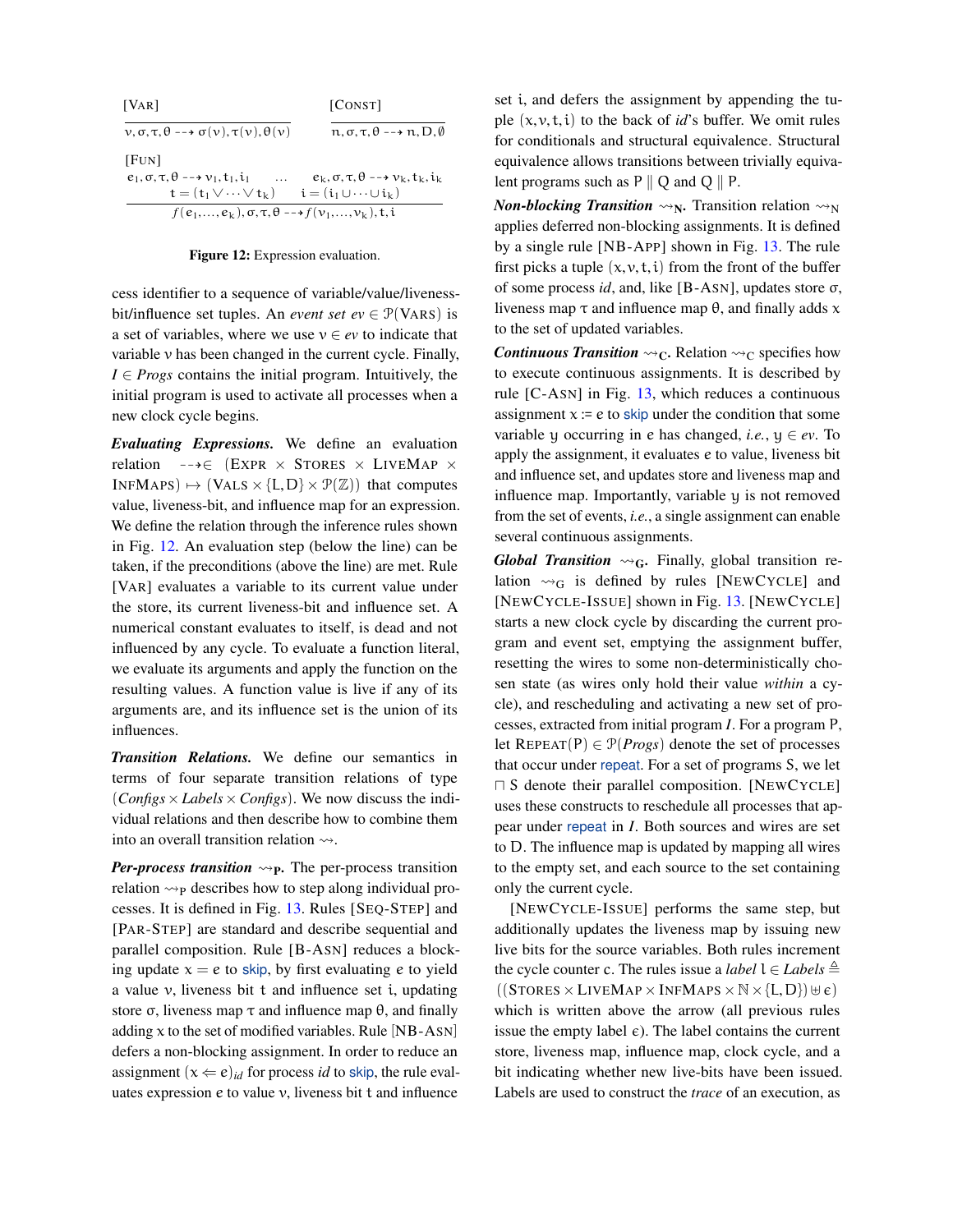<span id="page-7-0"></span>

| [VAR]                                                                 | [CONST]                                                     |
|-----------------------------------------------------------------------|-------------------------------------------------------------|
| $v, \sigma, \tau, \theta \rightarrow \sigma(v), \tau(v), \theta(v)$   | $n, \sigma, \tau, \theta \rightarrow n, D, \emptyset$       |
| [FUN]                                                                 |                                                             |
| $e_1, \sigma, \tau, \theta \rightarrow v_1, t_1, i_1$<br>$\cdots$     | $e_k, \sigma, \tau, \theta \rightarrow v_k, t_k, i_k$       |
| $\mathbf{t} = (\mathbf{t}_1 \vee \cdots \vee \mathbf{t}_k)$           | $\mathbf{i} = (\mathbf{i}_1 \cup \cdots \cup \mathbf{i}_k)$ |
| $f(e_1,,e_k), \sigma, \tau, \theta \longrightarrow f(v_1,,v_k), t, i$ |                                                             |

#### Figure 12: Expression evaluation.

cess identifier to a sequence of variable/value/livenessbit/influence set tuples. An *event set*  $ev \in \mathcal{P}(VARS)$  is a set of variables, where we use  $v \in ev$  to indicate that variable v has been changed in the current cycle. Finally, *I* ∈ *Progs* contains the initial program. Intuitively, the initial program is used to activate all processes when a new clock cycle begins.

*Evaluating Expressions.* We define an evaluation relation  $-\rightarrow \in$  (EXPR × STORES × LIVEMAP ×  $INFMAPS$ )  $\mapsto$  (VALS  $\times$  {L, D}  $\times$   $\mathcal{P}(\mathbb{Z})$ } that computes value, liveness-bit, and influence map for an expression. We define the relation through the inference rules shown in Fig. [12.](#page-7-0) An evaluation step (below the line) can be taken, if the preconditions (above the line) are met. Rule [VAR] evaluates a variable to its current value under the store, its current liveness-bit and influence set. A numerical constant evaluates to itself, is dead and not influenced by any cycle. To evaluate a function literal, we evaluate its arguments and apply the function on the resulting values. A function value is live if any of its arguments are, and its influence set is the union of its influences.

*Transition Relations.* We define our semantics in terms of four separate transition relations of type  $(Configs \times Labels \times Configs)$ . We now discuss the individual relations and then describe how to combine them into an overall transition relation  $\rightsquigarrow$ .

*Per-process transition*  $\leadsto_{P}$ . The per-process transition relation  $\leadsto_{\mathsf{P}}$  describes how to step along individual processes. It is defined in Fig. [13.](#page-9-2) Rules [SEQ-STEP] and [PAR-STEP] are standard and describe sequential and parallel composition. Rule [B-ASN] reduces a blocking update  $x = e$  to skip, by first evaluating e to yield a value v, liveness bit t and influence set i, updating store  $\sigma$ , liveness map  $\tau$  and influence map  $\theta$ , and finally adding  $x$  to the set of modified variables. Rule [NB-ASN] defers a non-blocking assignment. In order to reduce an assignment  $(x \Leftarrow e)_{id}$  for process *id* to skip, the rule evaluates expression e to value v, liveness bit t and influence

set i, and defers the assignment by appending the tuple  $(x, y, t, i)$  to the back of *id*'s buffer. We omit rules for conditionals and structural equivalence. Structural equivalence allows transitions between trivially equivalent programs such as  $P \parallel Q$  and  $Q \parallel P$ .

*Non-blocking Transition*  $\rightsquigarrow_N$ . Transition relation  $\rightsquigarrow_N$ applies deferred non-blocking assignments. It is defined by a single rule [NB-APP] shown in Fig. [13.](#page-9-2) The rule first picks a tuple  $(x, y, t, i)$  from the front of the buffer of some process *id*, and, like [B-ASN], updates store σ, liveness map  $\tau$  and influence map θ, and finally adds x to the set of updated variables.

*Continuous Transition*  $\rightsquigarrow_C$ . Relation  $\rightsquigarrow_C$  specifies how to execute continuous assignments. It is described by rule [C-ASN] in Fig. [13,](#page-9-2) which reduces a continuous assignment  $x = e$  to skip under the condition that some variable y occurring in e has changed, *i.e.*,  $y \in ev$ . To apply the assignment, it evaluates e to value, liveness bit and influence set, and updates store and liveness map and influence map. Importantly, variable y is not removed from the set of events, *i.e.*, a single assignment can enable several continuous assignments.

*Global Transition*  $\rightsquigarrow_G$ . Finally, global transition relation  $\sim_G$  is defined by rules [NEWCYCLE] and [NEWCYCLE-ISSUE] shown in Fig. [13.](#page-9-2) [NEWCYCLE] starts a new clock cycle by discarding the current program and event set, emptying the assignment buffer, resetting the wires to some non-deterministically chosen state (as wires only hold their value *within* a cycle), and rescheduling and activating a new set of processes, extracted from initial program *I*. For a program P, let  $REPEAT(P) \in \mathcal{P}(Progs)$  denote the set of processes that occur under repeat. For a set of programs S, we let  $\Box$  S denote their parallel composition. [NEWCYCLE] uses these constructs to reschedule all processes that appear under repeat in *I*. Both sources and wires are set to D. The influence map is updated by mapping all wires to the empty set, and each source to the set containing only the current cycle.

[NEWCYCLE-ISSUE] performs the same step, but additionally updates the liveness map by issuing new live bits for the source variables. Both rules increment the cycle counter c. The rules issue a *label*  $l \in \text{Labels} \triangleq$  $((STORES \times LIVEMAP \times INFMAP \times \mathbb{N} \times \{L,D\}) \cup \epsilon)$ which is written above the arrow (all previous rules issue the empty label  $\epsilon$ ). The label contains the current store, liveness map, influence map, clock cycle, and a bit indicating whether new live-bits have been issued. Labels are used to construct the *trace* of an execution, as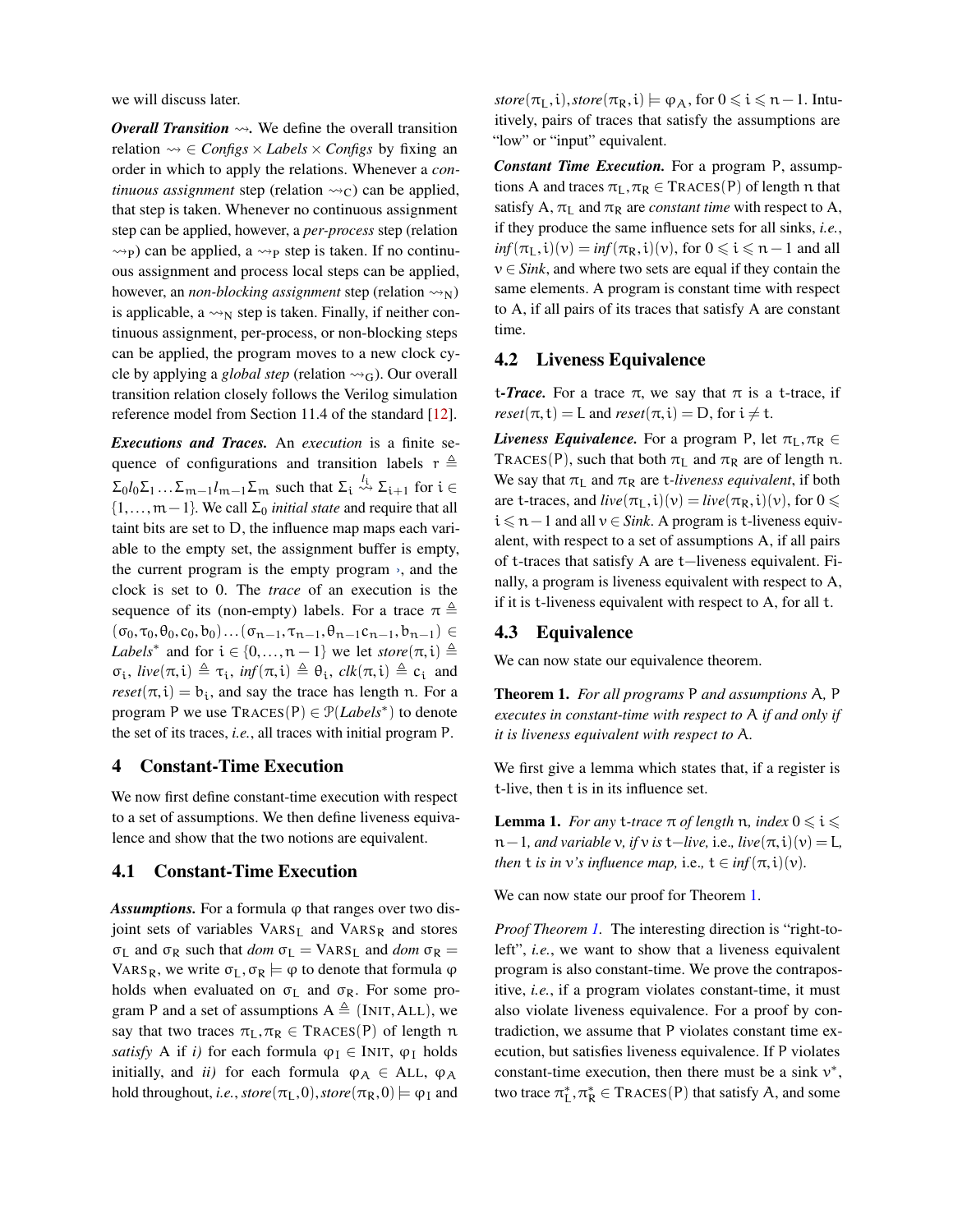we will discuss later.

*Overall Transition*  $\rightsquigarrow$ . We define the overall transition relation  $\Leftrightarrow \in \text{Configs} \times \text{Labels} \times \text{Configs}$  by fixing an order in which to apply the relations. Whenever a *continuous assignment* step (relation  $\rightsquigarrow_C$ ) can be applied, that step is taken. Whenever no continuous assignment step can be applied, however, a *per-process* step (relation <sup>P</sup>) can be applied, a <sup>P</sup> step is taken. If no continuous assignment and process local steps can be applied, however, an *non-blocking assignment* step (relation  $\rightsquigarrow_N$ ) is applicable, a  $\rightsquigarrow_N$  step is taken. Finally, if neither continuous assignment, per-process, or non-blocking steps can be applied, the program moves to a new clock cycle by applying a *global step* (relation  $\rightsquigarrow_G$ ). Our overall transition relation closely follows the Verilog simulation reference model from Section 11.4 of the standard [\[12\]](#page-14-8).

*Executions and Traces.* An *execution* is a finite sequence of configurations and transition labels  $r \triangleq$  $\Sigma_0 l_0 \Sigma_1 ... \Sigma_{m-1} l_{m-1} \Sigma_m$  such that  $\Sigma_i \stackrel{l_i}{\leadsto} \Sigma_{i+1}$  for  $i \in$ {1,...,m−1}. We call Σ<sup>0</sup> *initial state* and require that all taint bits are set to D, the influence map maps each variable to the empty set, the assignment buffer is empty, the current program is the empty program  $\lambda$ , and the clock is set to 0. The *trace* of an execution is the sequence of its (non-empty) labels. For a trace  $\pi \triangleq$  $(\sigma_0, \tau_0, \theta_0, c_0, b_0) \dots (\sigma_{n-1}, \tau_{n-1}, \theta_{n-1}c_{n-1}, b_{n-1}) \in$ *Labels*<sup>\*</sup> and for  $i \in \{0, ..., n-1\}$  we let  $\text{store}(\pi, i) \triangleq$  $\sigma_i$ ,  $\textit{live}(\pi, i) \triangleq \tau_i$ ,  $\textit{inf}(\pi, i) \triangleq \theta_i$ ,  $\textit{clk}(\pi, i) \triangleq c_i$  and  $reset(\pi, i) = b_i$ , and say the trace has length n. For a program P we use TRACES(P) ∈  $\mathcal{P}(Labels^*)$  to denote the set of its traces, *i.e.*, all traces with initial program P.

### <span id="page-8-0"></span>4 Constant-Time Execution

We now first define constant-time execution with respect to a set of assumptions. We then define liveness equivalence and show that the two notions are equivalent.

### 4.1 Constant-Time Execution

*Assumptions.* For a formula  $\varphi$  that ranges over two disjoint sets of variables VARS<sub>L</sub> and VARS<sub>R</sub> and stores σ<sub>L</sub> and σ<sub>R</sub> such that *dom*  $σ<sub>L</sub> = VARS<sub>L</sub>$  and *dom*  $σ<sub>R</sub> =$ VARS<sub>R</sub>, we write  $\sigma_L, \sigma_R \models \varphi$  to denote that formula  $\varphi$ holds when evaluated on  $\sigma_L$  and  $\sigma_R$ . For some program P and a set of assumptions  $A \triangleq$  (INIT, ALL), we say that two traces  $\pi_L, \pi_R \in \text{Traces}(P)$  of length n *satisfy* A if *i*) for each formula  $\varphi_I \in \text{INIT}, \varphi_I$  holds initially, and *ii*) for each formula  $\varphi_A \in$  ALL,  $\varphi_A$ hold throughout, *i.e.*,  $\mathit{store}(\pi_L, 0), \mathit{store}(\pi_R, 0) \models \varphi_I$  and

 $\textit{store}(\pi_I, i), \textit{store}(\pi_R, i) \models \varphi_A, \text{ for } 0 \leq i \leq n-1.$  Intuitively, pairs of traces that satisfy the assumptions are "low" or "input" equivalent.

*Constant Time Execution.* For a program P, assumptions A and traces  $\pi_L, \pi_R \in \text{TrACES}(P)$  of length n that satisfy A,  $\pi_I$  and  $\pi_R$  are *constant time* with respect to A, if they produce the same influence sets for all sinks, *i.e.*,  $inf(\pi_L, i)(v) = inf(\pi_R, i)(v)$ , for  $0 \le i \le n - 1$  and all  $v \in Sink$ , and where two sets are equal if they contain the same elements. A program is constant time with respect to A, if all pairs of its traces that satisfy A are constant time.

### 4.2 Liveness Equivalence

t-*Trace*. For a trace  $π$ , we say that  $π$  is a t-trace, if  $reset(\pi, t) = L$  and  $reset(\pi, i) = D$ , for  $i \neq t$ .

*Liveness Equivalence.* For a program P, let  $\pi_l$ ,  $\pi_R \in$ TRACES(P), such that both  $\pi_L$  and  $\pi_R$  are of length n. We say that  $\pi_L$  and  $\pi_R$  are *t-liveness equivalent*, if both are t-traces, and  $live(\pi_L, i)(v) = live(\pi_R, i)(v)$ , for  $0 \le$ i 6 n−1 and all v ∈ *Sink*. A program is t-liveness equivalent, with respect to a set of assumptions A, if all pairs of t-traces that satisfy A are t−liveness equivalent. Finally, a program is liveness equivalent with respect to A, if it is t-liveness equivalent with respect to A, for all t.

### 4.3 Equivalence

<span id="page-8-2"></span>We can now state our equivalence theorem.

Theorem 1. *For all programs* P *and assumptions* A*,* P *executes in constant-time with respect to* A *if and only if it is liveness equivalent with respect to* A*.*

We first give a lemma which states that, if a register is t-live, then t is in its influence set.

<span id="page-8-1"></span>**Lemma 1.** *For any t-trace*  $\pi$  *of length*  $\pi$ *, index*  $0 \le i \le$  $n-1$ *, and variable v, if v is*  $t-$ *live, i.e., live* $(\pi, i)(v) = L$ *, then* **t** *is in*  $v$ *'s influence map,* i.e.,  $t \in \inf(\pi, i)(v)$ *.* 

We can now state our proof for Theorem [1.](#page-8-2)

*Proof Theorem [1.](#page-8-2)* The interesting direction is "right-toleft", *i.e.*, we want to show that a liveness equivalent program is also constant-time. We prove the contrapositive, *i.e.*, if a program violates constant-time, it must also violate liveness equivalence. For a proof by contradiction, we assume that P violates constant time execution, but satisfies liveness equivalence. If P violates constant-time execution, then there must be a sink  $v^*$ , two trace  $\pi_L^*, \pi_R^* \in \text{TrACES}(P)$  that satisfy A, and some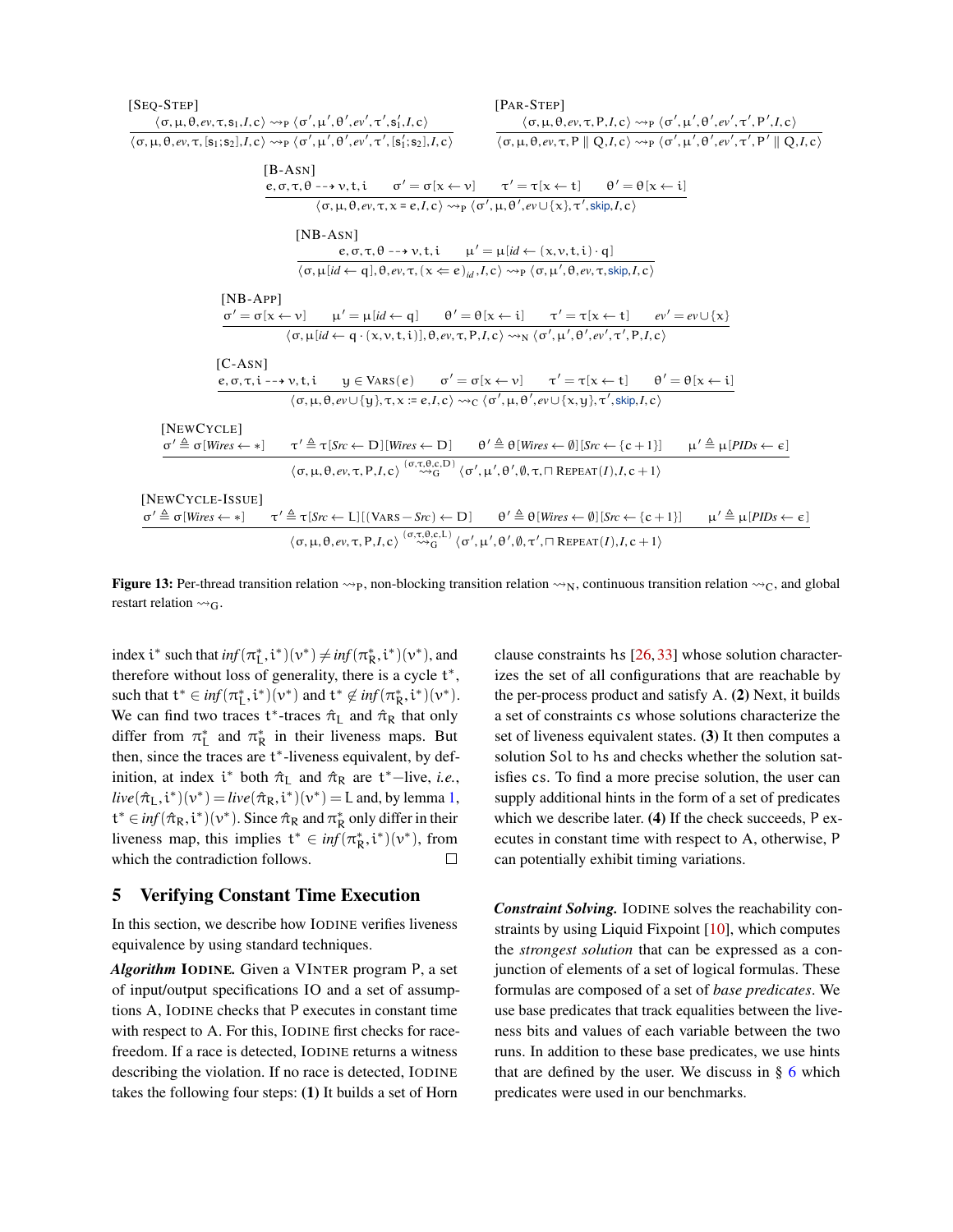<span id="page-9-2"></span>

| $[SeQ-STEP]$<br>$[PAR-STEP]$                                                                                                                                                                                                                                                                                                                                                                                                                                                                                                                                                                                                                        |
|-----------------------------------------------------------------------------------------------------------------------------------------------------------------------------------------------------------------------------------------------------------------------------------------------------------------------------------------------------------------------------------------------------------------------------------------------------------------------------------------------------------------------------------------------------------------------------------------------------------------------------------------------------|
| $\langle \sigma, \mu, \theta, ev, \tau, s_1, I, c \rangle \rightsquigarrow_{\mathcal{P}} \langle \sigma', \mu', \theta', ev', \tau', s_1', I, c \rangle$<br>$\langle \sigma, \mu, \theta, ev, \tau, P, I, c \rangle \rightsquigarrow_{P} \langle \sigma', \mu', \theta', ev', \tau', P', I, c \rangle$<br>$\langle \sigma, \mu, \theta, ev, \tau, [s_1; s_2], I, c \rangle \rightsquigarrow_P \langle \sigma', \mu', \theta', ev', \tau', [s_1'; s_2], I, c \rangle$<br>$\langle \sigma, \mu, \theta, ev, \tau, P \parallel Q, I, c \rangle \rightsquigarrow_P \langle \sigma', \mu', \theta', ev', \tau', P' \parallel \overline{Q, I, c} \rangle$ |
|                                                                                                                                                                                                                                                                                                                                                                                                                                                                                                                                                                                                                                                     |
| $[B-AsN]$                                                                                                                                                                                                                                                                                                                                                                                                                                                                                                                                                                                                                                           |
| $e, \sigma, \tau, \theta \dashrightarrow v, t, i \quad \sigma' = \sigma[x \leftarrow v] \quad \tau' = \tau[x \leftarrow t] \quad \theta' = \theta[x \leftarrow i]$<br>$\langle \sigma, \mu, \theta, ev, \tau, x = e, I, c \rangle \rightsquigarrow_{P} \langle \sigma', \mu, \theta', ev \cup \{x\}, \tau', skip, I, c \rangle$                                                                                                                                                                                                                                                                                                                     |
|                                                                                                                                                                                                                                                                                                                                                                                                                                                                                                                                                                                                                                                     |
| $[NB-ASN]$                                                                                                                                                                                                                                                                                                                                                                                                                                                                                                                                                                                                                                          |
| $e, \sigma, \tau, \theta \rightarrow \nu, t, i \quad \mu' = \mu [id \leftarrow (x, \nu, t, i) \cdot q]$                                                                                                                                                                                                                                                                                                                                                                                                                                                                                                                                             |
| $\langle \sigma, \mu   id \leftarrow q  , \theta, ev, \tau, (\chi \leftarrow e)_{id}, I, c \rangle \rightsquigarrow_{\mathcal{P}} \langle \sigma, \mu', \theta, ev, \tau, \text{skip}, I, c \rangle$                                                                                                                                                                                                                                                                                                                                                                                                                                                |
| $[NB-APP]$<br>$\sigma' = \sigma[x \leftarrow v]$ $\mu' = \mu(id \leftarrow q]$ $\theta' = \theta[x \leftarrow i]$ $\tau' = \tau[x \leftarrow t]$ $ev' = ev \cup \{x\}$                                                                                                                                                                                                                                                                                                                                                                                                                                                                              |
| $\langle \sigma, \mu   id \leftarrow q \cdot (x, v, t, i)  , \theta, ev, \tau, P, I, c \rangle \rightarrow_N \langle \sigma', \mu', \theta', ev', \tau', P, I, c \rangle$                                                                                                                                                                                                                                                                                                                                                                                                                                                                           |
| $[C-AsN]$                                                                                                                                                                                                                                                                                                                                                                                                                                                                                                                                                                                                                                           |
| $e, \sigma, \tau, i \rightarrow \nu, t, i \qquad y \in \text{VARS}(e) \qquad \sigma' = \sigma[x \leftarrow v] \qquad \tau' = \tau[x \leftarrow t] \qquad \theta' = \theta[x \leftarrow i]$                                                                                                                                                                                                                                                                                                                                                                                                                                                          |
| $\langle \sigma, \mu, \theta, ev \cup \{q\}, \tau, x := e, I, c \rangle \rightsquigarrow_C \langle \sigma', \mu, \theta', ev \cup \{x, y\}, \tau', skip, I, c \rangle$                                                                                                                                                                                                                                                                                                                                                                                                                                                                              |
| [NEWCYCLE]                                                                                                                                                                                                                                                                                                                                                                                                                                                                                                                                                                                                                                          |
| $\sigma' \triangleq \sigma[Wires \leftarrow *) \qquad \tau' \triangleq \tau[Src \leftarrow D][Wires \leftarrow D] \qquad \theta' \triangleq \theta[Wires \leftarrow \emptyset][Src \leftarrow \{c+1\}] \qquad \mu' \triangleq \mu[PIDS \leftarrow \epsilon]$                                                                                                                                                                                                                                                                                                                                                                                        |
| $\langle \sigma, \mu, \theta, ev, \tau, P, I, c \rangle \stackrel{(\sigma, \tau, \theta, c, D)}{\leadsto} \langle \sigma', \mu', \theta', \emptyset, \tau, \Box$ REPEAT $(I), I, c + 1 \rangle$                                                                                                                                                                                                                                                                                                                                                                                                                                                     |
| [NEWCYCLE-ISSUE]                                                                                                                                                                                                                                                                                                                                                                                                                                                                                                                                                                                                                                    |
| $\sigma' \triangleq \sigma[Wires \leftarrow *) \qquad \tau' \triangleq \tau[Sc \leftarrow L] [(VARS - Sc) \leftarrow D] \qquad \theta' \triangleq \theta[Wires \leftarrow \emptyset][Sc \leftarrow \{c+1\}] \qquad \mu' \triangleq \mu[PDs \leftarrow \epsilon]$                                                                                                                                                                                                                                                                                                                                                                                    |
| $\langle \sigma, \mu, \theta, ev, \tau, P, I, c \rangle \stackrel{(\sigma, \tau, \theta, c, L)}{\leadsto} \langle \sigma', \mu', \theta', \emptyset, \tau', \Box$ REPEAT $(I), I, c + 1 \rangle$                                                                                                                                                                                                                                                                                                                                                                                                                                                    |

**Figure 13:** Per-thread transition relation  $\leadsto_{\mathbf{P}}$ , non-blocking transition relation  $\leadsto_N$ , continuous transition relation  $\leadsto_C$ , and global restart relation  $\rightsquigarrow_G$ .

index  $i^*$  such that  $inf(\pi^*_{L}, i^*)(\nu^*) \neq inf(\pi^*_{R}, i^*)(\nu^*),$  and therefore without loss of generality, there is a cycle  $t^*$ , such that  $t^* \in \inf(\pi^*_{L}, i^*)(v^*)$  and  $t^* \notin \inf(\pi^*_{R}, i^*)(v^*)$ . We can find two traces  $t^*$ -traces  $\hat{\pi}_L$  and  $\hat{\pi}_R$  that only differ from  $\pi_L^*$  and  $\pi_R^*$  in their liveness maps. But then, since the traces are t\*-liveness equivalent, by definition, at index  $i^*$  both  $\hat{\pi}_L$  and  $\hat{\pi}_R$  are  $t^*$ -live, *i.e.*,  $live(\hat{\pi}_{L}, i^{*})(v^{*}) = live(\hat{\pi}_{R}, i^{*})(v^{*}) = L$  and, by lemma [1,](#page-8-1)  $t^* \in \text{inf}(\hat{\pi}_R, \mathfrak{i}^*)(\mathfrak{v}^*)$ . Since  $\hat{\pi}_R$  and  $\pi_R^*$  only differ in their liveness map, this implies  $t^* \in \inf(\pi^*_{R}, i^*)(v^*)$ , from which the contradiction follows.  $\Box$ 

### <span id="page-9-1"></span>5 Verifying Constant Time Execution

In this section, we describe how IODINE verifies liveness equivalence by using standard techniques.

*Algorithm* IODINE*.* Given a VINTER program P, a set of input/output specifications IO and a set of assumptions A, IODINE checks that P executes in constant time with respect to A. For this, IODINE first checks for racefreedom. If a race is detected, IODINE returns a witness describing the violation. If no race is detected, IODINE takes the following four steps: (1) It builds a set of Horn

clause constraints hs [\[26,](#page-15-11) [33\]](#page-15-12) whose solution characterizes the set of all configurations that are reachable by the per-process product and satisfy A. (2) Next, it builds a set of constraints cs whose solutions characterize the set of liveness equivalent states. (3) It then computes a solution Sol to hs and checks whether the solution satisfies cs. To find a more precise solution, the user can supply additional hints in the form of a set of predicates which we describe later. (4) If the check succeeds, P executes in constant time with respect to A, otherwise, P can potentially exhibit timing variations.

<span id="page-9-0"></span>*Constraint Solving.* IODINE solves the reachability constraints by using Liquid Fixpoint [\[10\]](#page-14-9), which computes the *strongest solution* that can be expressed as a conjunction of elements of a set of logical formulas. These formulas are composed of a set of *base predicates*. We use base predicates that track equalities between the liveness bits and values of each variable between the two runs. In addition to these base predicates, we use hints that are defined by the user. We discuss in § [6](#page-9-0) which predicates were used in our benchmarks.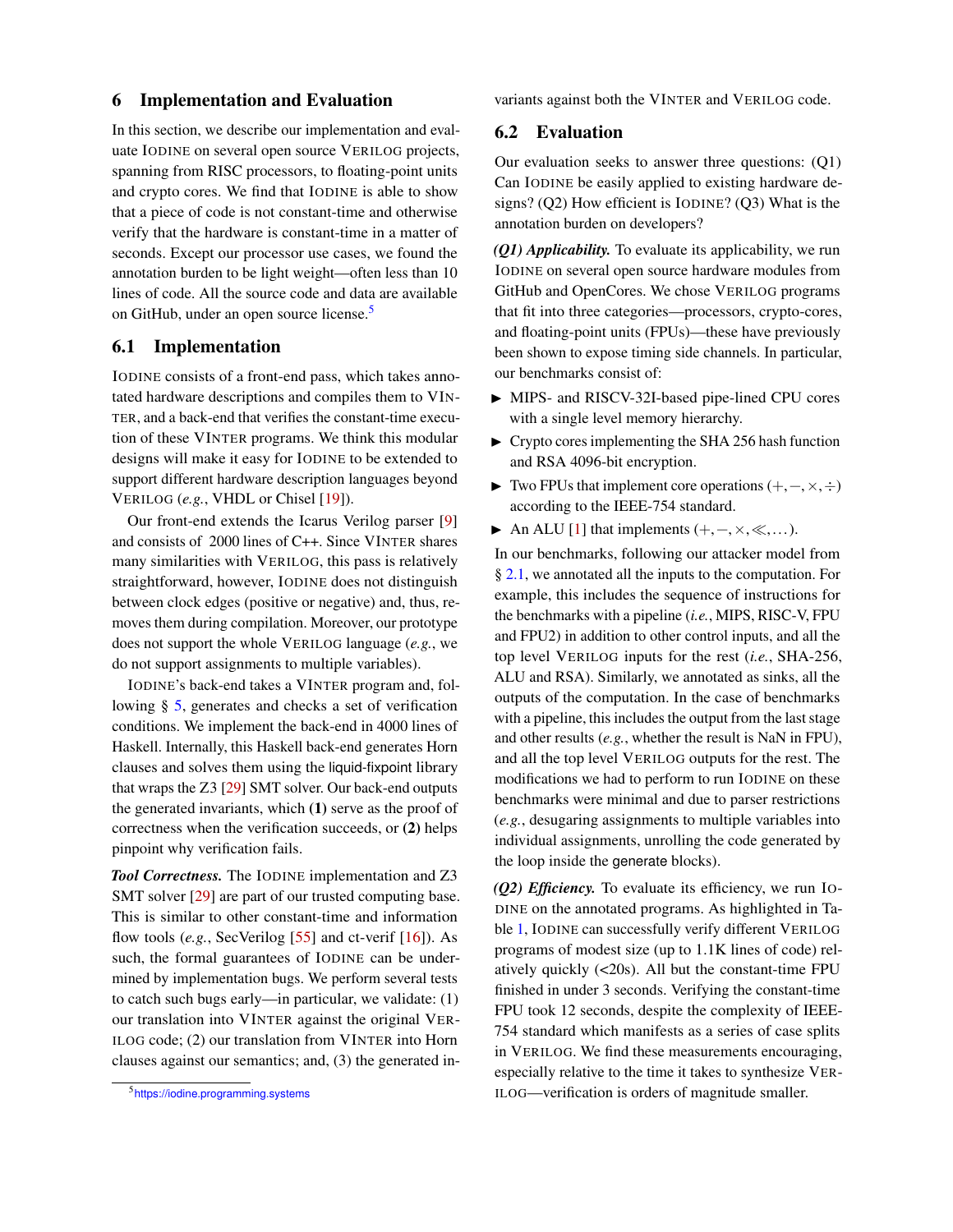#### 6 Implementation and Evaluation

In this section, we describe our implementation and evaluate IODINE on several open source VERILOG projects, spanning from RISC processors, to floating-point units and crypto cores. We find that IODINE is able to show that a piece of code is not constant-time and otherwise verify that the hardware is constant-time in a matter of seconds. Except our processor use cases, we found the annotation burden to be light weight—often less than 10 lines of code. All the source code and data are available on GitHub, under an open source license.<sup>[5](#page-10-0)</sup>

### 6.1 Implementation

IODINE consists of a front-end pass, which takes annotated hardware descriptions and compiles them to VIN-TER, and a back-end that verifies the constant-time execution of these VINTER programs. We think this modular designs will make it easy for IODINE to be extended to support different hardware description languages beyond VERILOG (*e.g.*, VHDL or Chisel [\[19\]](#page-14-10)).

Our front-end extends the Icarus Verilog parser [\[9\]](#page-14-11) and consists of 2000 lines of C++. Since VINTER shares many similarities with VERILOG, this pass is relatively straightforward, however, IODINE does not distinguish between clock edges (positive or negative) and, thus, removes them during compilation. Moreover, our prototype does not support the whole VERILOG language (*e.g.*, we do not support assignments to multiple variables).

IODINE's back-end takes a VINTER program and, following § [5,](#page-9-1) generates and checks a set of verification conditions. We implement the back-end in 4000 lines of Haskell. Internally, this Haskell back-end generates Horn clauses and solves them using the liquid-fixpoint library that wraps the Z3 [\[29\]](#page-15-13) SMT solver. Our back-end outputs the generated invariants, which (1) serve as the proof of correctness when the verification succeeds, or (2) helps pinpoint why verification fails.

*Tool Correctness.* The IODINE implementation and Z3 SMT solver [\[29\]](#page-15-13) are part of our trusted computing base. This is similar to other constant-time and information flow tools (*e.g.*, SecVerilog [\[55\]](#page-16-1) and ct-verif [\[16\]](#page-14-1)). As such, the formal guarantees of IODINE can be undermined by implementation bugs. We perform several tests to catch such bugs early—in particular, we validate: (1) our translation into VINTER against the original VER-ILOG code; (2) our translation from VINTER into Horn clauses against our semantics; and, (3) the generated invariants against both the VINTER and VERILOG code.

### 6.2 Evaluation

Our evaluation seeks to answer three questions: (Q1) Can IODINE be easily applied to existing hardware designs? (Q2) How efficient is IODINE? (Q3) What is the annotation burden on developers?

*(Q1) Applicability.* To evaluate its applicability, we run IODINE on several open source hardware modules from GitHub and OpenCores. We chose VERILOG programs that fit into three categories—processors, crypto-cores, and floating-point units (FPUs)—these have previously been shown to expose timing side channels. In particular, our benchmarks consist of:

- $\blacktriangleright$  MIPS- and RISCV-32I-based pipe-lined CPU cores with a single level memory hierarchy.
- $\triangleright$  Crypto cores implementing the SHA 256 hash function and RSA 4096-bit encryption.
- $\blacktriangleright$  Two FPUs that implement core operations  $(+,-, \times, \div)$ according to the IEEE-754 standard.
- An ALU [\[1\]](#page-14-12) that implements  $(+,-, \times, \ll,...).$

In our benchmarks, following our attacker model from § [2.1,](#page-2-3) we annotated all the inputs to the computation. For example, this includes the sequence of instructions for the benchmarks with a pipeline (*i.e.*, MIPS, RISC-V, FPU and FPU2) in addition to other control inputs, and all the top level VERILOG inputs for the rest (*i.e.*, SHA-256, ALU and RSA). Similarly, we annotated as sinks, all the outputs of the computation. In the case of benchmarks with a pipeline, this includes the output from the last stage and other results (*e.g.*, whether the result is NaN in FPU), and all the top level VERILOG outputs for the rest. The modifications we had to perform to run IODINE on these benchmarks were minimal and due to parser restrictions (*e.g.*, desugaring assignments to multiple variables into individual assignments, unrolling the code generated by the loop inside the generate blocks).

*(Q2) Efficiency.* To evaluate its efficiency, we run IO-DINE on the annotated programs. As highlighted in Table [1,](#page-11-1) IODINE can successfully verify different VERILOG programs of modest size (up to 1.1K lines of code) relatively quickly (<20s). All but the constant-time FPU finished in under 3 seconds. Verifying the constant-time FPU took 12 seconds, despite the complexity of IEEE-754 standard which manifests as a series of case splits in VERILOG. We find these measurements encouraging, especially relative to the time it takes to synthesize VER-ILOG—verification is orders of magnitude smaller.

<span id="page-10-0"></span><sup>5</sup><https://iodine.programming.systems>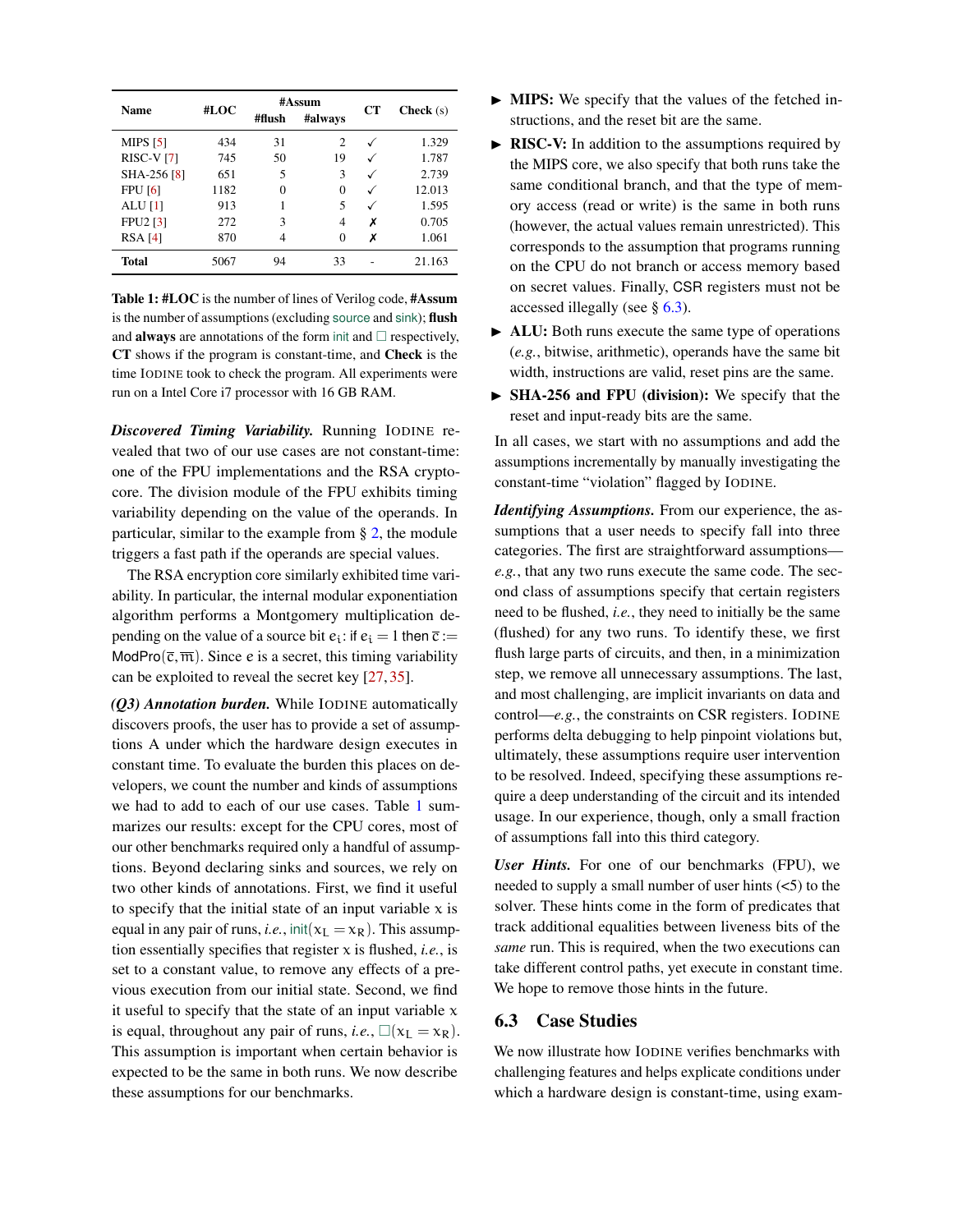<span id="page-11-1"></span>

| <b>Name</b>       | #LOC | #flush   | $#$ Assum<br>#always | <b>CT</b>    | <b>Check</b> $(s)$ |
|-------------------|------|----------|----------------------|--------------|--------------------|
| <b>MIPS</b> [5]   | 434  | 31       | $\mathfrak{D}$       | ✓            | 1.329              |
| <b>RISC-V</b> [7] | 745  | 50       | 19                   |              | 1.787              |
| SHA-256 [8]       | 651  | 5        | 3                    | ✓            | 2.739              |
| <b>FPU</b> [6]    | 1182 | $\Omega$ | 0                    | $\checkmark$ | 12.013             |
| ALU $[1]$         | 913  |          | 5                    | ✓            | 1.595              |
| <b>FPU2 [3]</b>   | 272  | 3        | 4                    | х            | 0.705              |
| RSA [4]           | 870  | 4        | 0                    | х            | 1.061              |
| <b>Total</b>      | 5067 | 94       | 33                   |              | 21.163             |

Table 1: #LOC is the number of lines of Verilog code, #Assum is the number of assumptions (excluding source and sink); flush and **always** are annotations of the form init and  $\Box$  respectively, CT shows if the program is constant-time, and Check is the time IODINE took to check the program. All experiments were run on a Intel Core i7 processor with 16 GB RAM.

*Discovered Timing Variability.* Running IODINE revealed that two of our use cases are not constant-time: one of the FPU implementations and the RSA cryptocore. The division module of the FPU exhibits timing variability depending on the value of the operands. In particular, similar to the example from § [2,](#page-2-0) the module triggers a fast path if the operands are special values.

The RSA encryption core similarly exhibited time variability. In particular, the internal modular exponentiation algorithm performs a Montgomery multiplication depending on the value of a source bit  $e_i$ : if  $e_i = 1$  then  $\overline{c} :=$ ModPro( $\overline{c}, \overline{m}$ ). Since e is a secret, this timing variability can be exploited to reveal the secret key [\[27,](#page-15-7) [35\]](#page-15-8).

*(Q3) Annotation burden.* While IODINE automatically discovers proofs, the user has to provide a set of assumptions A under which the hardware design executes in constant time. To evaluate the burden this places on developers, we count the number and kinds of assumptions we had to add to each of our use cases. Table [1](#page-11-1) summarizes our results: except for the CPU cores, most of our other benchmarks required only a handful of assumptions. Beyond declaring sinks and sources, we rely on two other kinds of annotations. First, we find it useful to specify that the initial state of an input variable  $x$  is equal in any pair of runs, *i.e.*, init( $x_L = x_R$ ). This assumption essentially specifies that register  $x$  is flushed, *i.e.*, is set to a constant value, to remove any effects of a previous execution from our initial state. Second, we find it useful to specify that the state of an input variable  $x$ is equal, throughout any pair of runs, *i.e.*,  $\Box(x_L = x_R)$ . This assumption is important when certain behavior is expected to be the same in both runs. We now describe these assumptions for our benchmarks.

- In MIPS: We specify that the values of the fetched instructions, and the reset bit are the same.
- $\triangleright$  RISC-V: In addition to the assumptions required by the MIPS core, we also specify that both runs take the same conditional branch, and that the type of memory access (read or write) is the same in both runs (however, the actual values remain unrestricted). This corresponds to the assumption that programs running on the CPU do not branch or access memory based on secret values. Finally, CSR registers must not be accessed illegally (see § [6.3\)](#page-11-0).
- $\blacktriangleright$  ALU: Both runs execute the same type of operations (*e.g.*, bitwise, arithmetic), operands have the same bit width, instructions are valid, reset pins are the same.
- $\triangleright$  SHA-256 and FPU (division): We specify that the reset and input-ready bits are the same.

In all cases, we start with no assumptions and add the assumptions incrementally by manually investigating the constant-time "violation" flagged by IODINE.

*Identifying Assumptions.* From our experience, the assumptions that a user needs to specify fall into three categories. The first are straightforward assumptions *e.g.*, that any two runs execute the same code. The second class of assumptions specify that certain registers need to be flushed, *i.e.*, they need to initially be the same (flushed) for any two runs. To identify these, we first flush large parts of circuits, and then, in a minimization step, we remove all unnecessary assumptions. The last, and most challenging, are implicit invariants on data and control—*e.g.*, the constraints on CSR registers. IODINE performs delta debugging to help pinpoint violations but, ultimately, these assumptions require user intervention to be resolved. Indeed, specifying these assumptions require a deep understanding of the circuit and its intended usage. In our experience, though, only a small fraction of assumptions fall into this third category.

*User Hints.* For one of our benchmarks (FPU), we needed to supply a small number of user hints  $(<5)$  to the solver. These hints come in the form of predicates that track additional equalities between liveness bits of the *same* run. This is required, when the two executions can take different control paths, yet execute in constant time. We hope to remove those hints in the future.

## <span id="page-11-0"></span>6.3 Case Studies

We now illustrate how IODINE verifies benchmarks with challenging features and helps explicate conditions under which a hardware design is constant-time, using exam-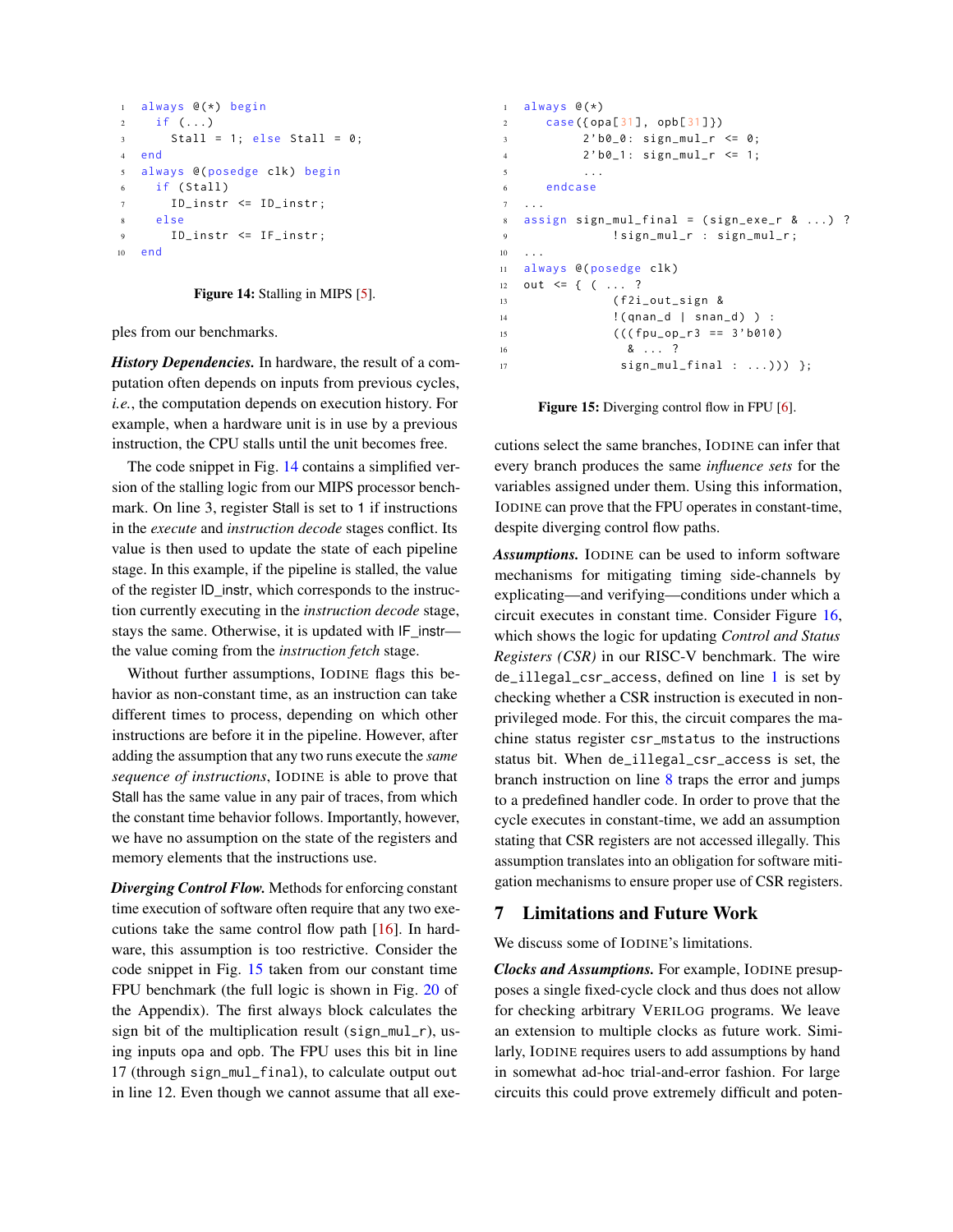```
1 always @(*) begin
2 if ( ...)3 Stall = 1; else Stall = 0;
4 end
5 always @( posedge clk) begin
6 if ( Stall )
7 ID_instr <= ID_instr ;
8 else
9 ID_instr <= IF_instr ;
10 end
```
#### Figure 14: Stalling in MIPS [\[5\]](#page-14-13).

ples from our benchmarks.

*History Dependencies.* In hardware, the result of a computation often depends on inputs from previous cycles, *i.e.*, the computation depends on execution history. For example, when a hardware unit is in use by a previous instruction, the CPU stalls until the unit becomes free.

The code snippet in Fig. [14](#page-12-1) contains a simplified version of the stalling logic from our MIPS processor benchmark. On line 3, register Stall is set to 1 if instructions in the *execute* and *instruction decode* stages conflict. Its value is then used to update the state of each pipeline stage. In this example, if the pipeline is stalled, the value of the register ID\_instr, which corresponds to the instruction currently executing in the *instruction decode* stage, stays the same. Otherwise, it is updated with IF\_instr the value coming from the *instruction fetch* stage.

Without further assumptions, IODINE flags this behavior as non-constant time, as an instruction can take different times to process, depending on which other instructions are before it in the pipeline. However, after adding the assumption that any two runs execute the *same sequence of instructions*, IODINE is able to prove that Stall has the same value in any pair of traces, from which the constant time behavior follows. Importantly, however, we have no assumption on the state of the registers and memory elements that the instructions use.

*Diverging Control Flow.* Methods for enforcing constant time execution of software often require that any two executions take the same control flow path [\[16\]](#page-14-1). In hardware, this assumption is too restrictive. Consider the code snippet in Fig. [15](#page-12-2) taken from our constant time FPU benchmark (the full logic is shown in Fig. [20](#page-17-0) of the Appendix). The first always block calculates the sign bit of the multiplication result (sign\_mul\_r), using inputs opa and opb. The FPU uses this bit in line 17 (through sign\_mul\_final), to calculate output out in line 12. Even though we cannot assume that all exe-

```
1 always \mathcal{C}(*)2 case ({ opa[31], opb[31]})
3 2'b0_0: sign_mul_r <= 0;
4 2 ' b0_1 : sign_mul_r <= 1;
5 ...
6 endcase
7 ...
8 assign sign_mul_final = ( sign_exe_r & ...) ?
9 ! sign_mul_r : sign_mul_r ;
10 \quad . \quad . \quad .11 always @( posedge clk)
12 out <= { ( ... ?
13 ( f2i_out_sign &
14 !( qnan_d | snan_d ) ) :
15 ((\text{fpu\_op\_r3} == 3' b010)16 & ... ?
17 sign_mul_final : ...))) };
```
Figure 15: Diverging control flow in FPU [\[6\]](#page-14-16).

cutions select the same branches, IODINE can infer that every branch produces the same *influence sets* for the variables assigned under them. Using this information, IODINE can prove that the FPU operates in constant-time, despite diverging control flow paths.

*Assumptions.* IODINE can be used to inform software mechanisms for mitigating timing side-channels by explicating—and verifying—conditions under which a circuit executes in constant time. Consider Figure [16,](#page-13-0) which shows the logic for updating *Control and Status Registers (CSR)* in our RISC-V benchmark. The wire de\_illegal\_csr\_access, defined on line [1](#page-13-1) is set by checking whether a CSR instruction is executed in nonprivileged mode. For this, the circuit compares the machine status register csr\_mstatus to the instructions status bit. When de\_illegal\_csr\_access is set, the branch instruction on line [8](#page-13-2) traps the error and jumps to a predefined handler code. In order to prove that the cycle executes in constant-time, we add an assumption stating that CSR registers are not accessed illegally. This assumption translates into an obligation for software mitigation mechanisms to ensure proper use of CSR registers.

#### <span id="page-12-0"></span>7 Limitations and Future Work

We discuss some of IODINE's limitations.

*Clocks and Assumptions.* For example, IODINE presupposes a single fixed-cycle clock and thus does not allow for checking arbitrary VERILOG programs. We leave an extension to multiple clocks as future work. Similarly, IODINE requires users to add assumptions by hand in somewhat ad-hoc trial-and-error fashion. For large circuits this could prove extremely difficult and poten-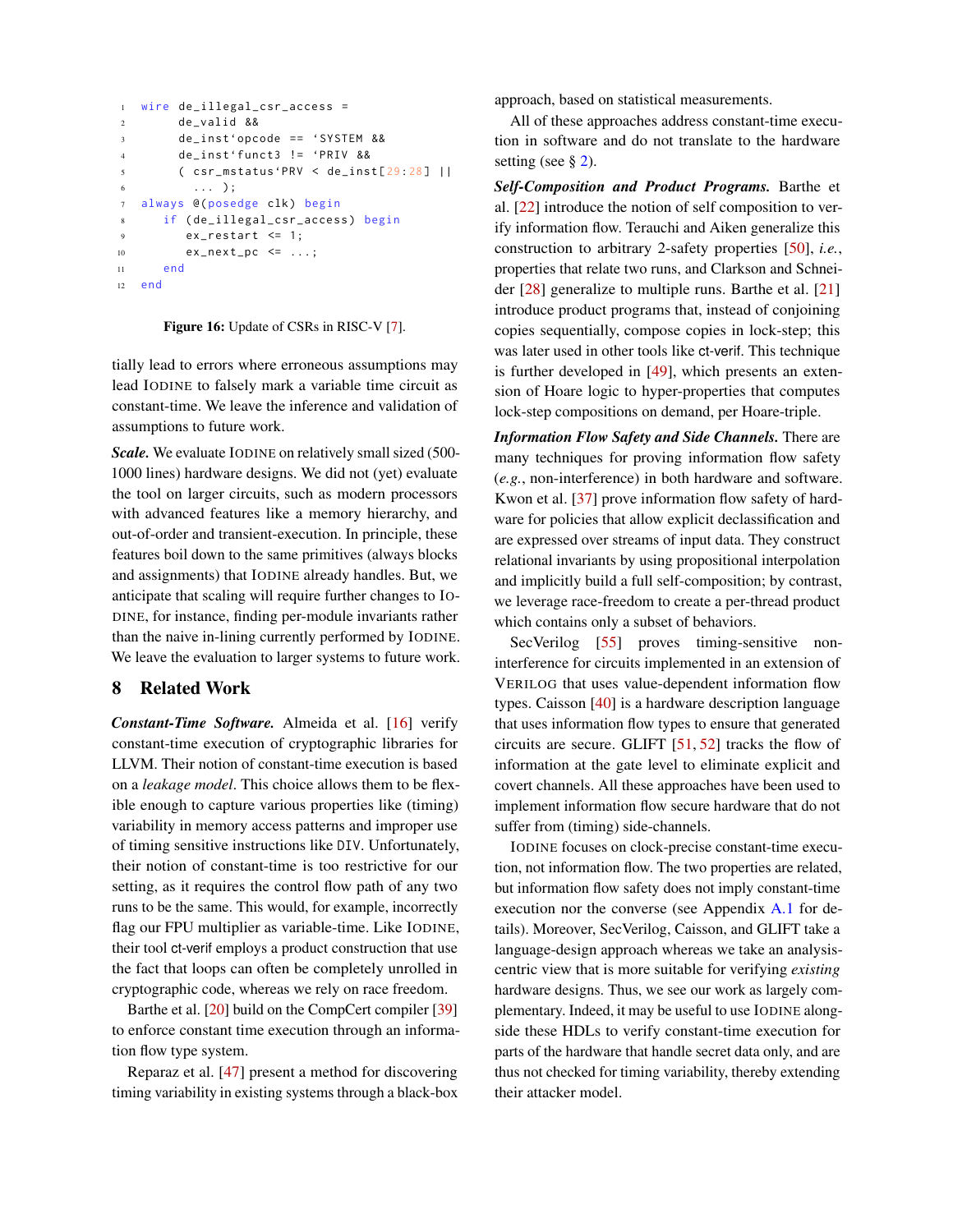```
1 wire de_illegal_csr_access =
2 de_valid &&
3 de_inst'opcode == 'SYSTEM &&
4 de_inst'funct3 != 'PRIV &&
5 ( csr_mstatus'PRV < de_inst [29:28] ||
\begin{array}{ccc} 6 & \ldots \end{array};
7 always @( posedge clk) begin
8 if ( de_illegal_csr_access ) begin
9 ex_restart <= 1;
10 ex_next_pc <= ...;
11 end
12 end
```
Figure 16: Update of CSRs in RISC-V [\[7\]](#page-14-14).

tially lead to errors where erroneous assumptions may lead IODINE to falsely mark a variable time circuit as constant-time. We leave the inference and validation of assumptions to future work.

*Scale.* We evaluate IODINE on relatively small sized (500- 1000 lines) hardware designs. We did not (yet) evaluate the tool on larger circuits, such as modern processors with advanced features like a memory hierarchy, and out-of-order and transient-execution. In principle, these features boil down to the same primitives (always blocks and assignments) that IODINE already handles. But, we anticipate that scaling will require further changes to IO-DINE, for instance, finding per-module invariants rather than the naive in-lining currently performed by IODINE. We leave the evaluation to larger systems to future work.

### 8 Related Work

*Constant-Time Software.* Almeida et al. [\[16\]](#page-14-1) verify constant-time execution of cryptographic libraries for LLVM. Their notion of constant-time execution is based on a *leakage model*. This choice allows them to be flexible enough to capture various properties like (timing) variability in memory access patterns and improper use of timing sensitive instructions like DIV. Unfortunately, their notion of constant-time is too restrictive for our setting, as it requires the control flow path of any two runs to be the same. This would, for example, incorrectly flag our FPU multiplier as variable-time. Like IODINE, their tool ct-verif employs a product construction that use the fact that loops can often be completely unrolled in cryptographic code, whereas we rely on race freedom.

Barthe et al. [\[20\]](#page-14-2) build on the CompCert compiler [\[39\]](#page-15-14) to enforce constant time execution through an information flow type system.

Reparaz et al. [\[47\]](#page-15-15) present a method for discovering timing variability in existing systems through a black-box

approach, based on statistical measurements.

All of these approaches address constant-time execution in software and do not translate to the hardware setting (see § [2\)](#page-2-0).

*Self-Composition and Product Programs.* Barthe et al. [\[22\]](#page-14-3) introduce the notion of self composition to verify information flow. Terauchi and Aiken generalize this construction to arbitrary 2-safety properties [\[50\]](#page-16-4), *i.e.*, properties that relate two runs, and Clarkson and Schneider [\[28\]](#page-15-16) generalize to multiple runs. Barthe et al. [\[21\]](#page-14-19) introduce product programs that, instead of conjoining copies sequentially, compose copies in lock-step; this was later used in other tools like ct-verif. This technique is further developed in [\[49\]](#page-16-5), which presents an extension of Hoare logic to hyper-properties that computes lock-step compositions on demand, per Hoare-triple.

*Information Flow Safety and Side Channels.* There are many techniques for proving information flow safety (*e.g.*, non-interference) in both hardware and software. Kwon et al. [\[37\]](#page-15-17) prove information flow safety of hardware for policies that allow explicit declassification and are expressed over streams of input data. They construct relational invariants by using propositional interpolation and implicitly build a full self-composition; by contrast, we leverage race-freedom to create a per-thread product which contains only a subset of behaviors.

SecVerilog [\[55\]](#page-16-1) proves timing-sensitive noninterference for circuits implemented in an extension of VERILOG that uses value-dependent information flow types. Caisson [\[40\]](#page-15-18) is a hardware description language that uses information flow types to ensure that generated circuits are secure. GLIFT  $[51, 52]$  $[51, 52]$  $[51, 52]$  tracks the flow of information at the gate level to eliminate explicit and covert channels. All these approaches have been used to implement information flow secure hardware that do not suffer from (timing) side-channels.

IODINE focuses on clock-precise constant-time execution, not information flow. The two properties are related, but information flow safety does not imply constant-time execution nor the converse (see Appendix [A.1](#page-16-8) for details). Moreover, SecVerilog, Caisson, and GLIFT take a language-design approach whereas we take an analysiscentric view that is more suitable for verifying *existing* hardware designs. Thus, we see our work as largely complementary. Indeed, it may be useful to use IODINE alongside these HDLs to verify constant-time execution for parts of the hardware that handle secret data only, and are thus not checked for timing variability, thereby extending their attacker model.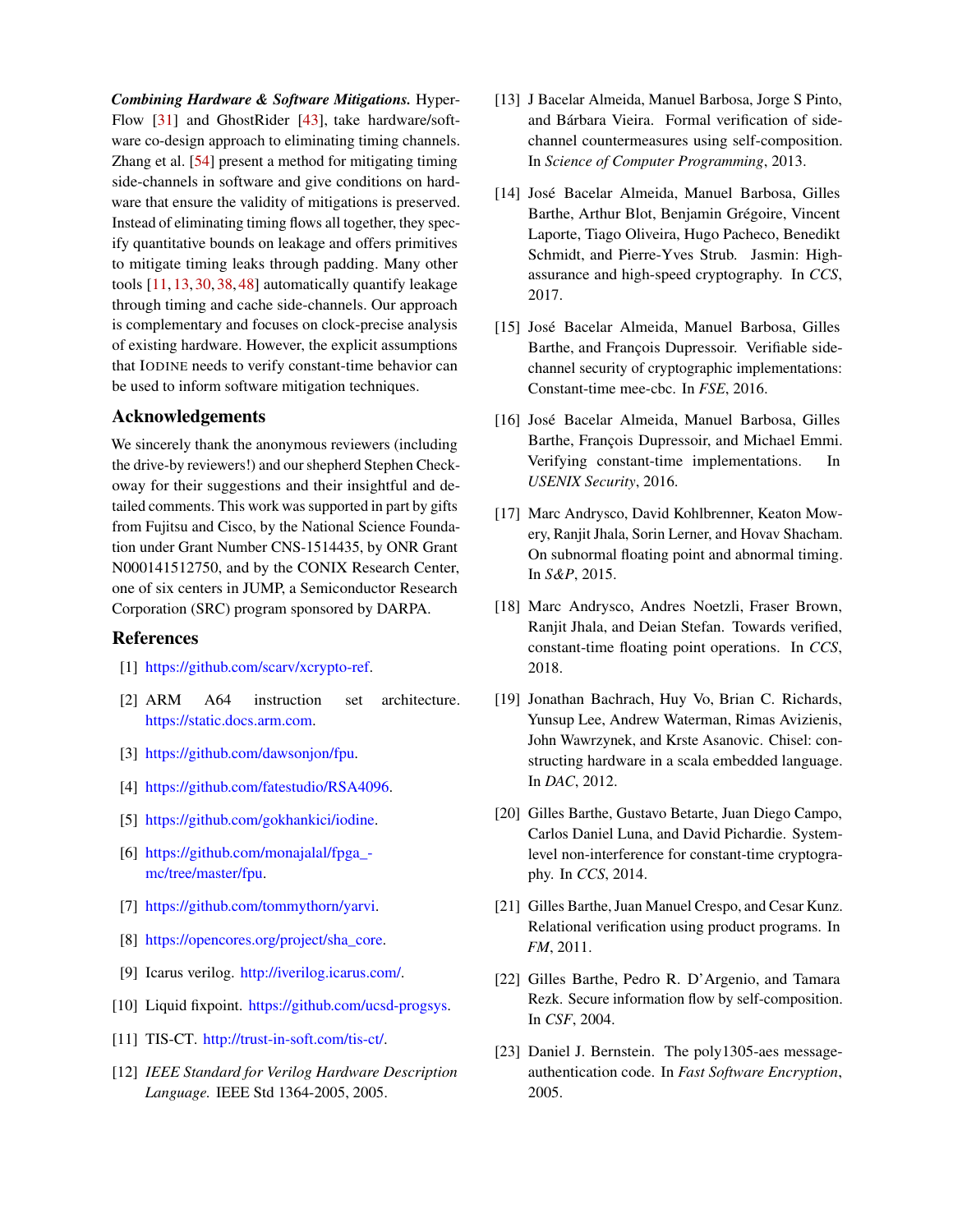*Combining Hardware & Software Mitigations.* Hyper-Flow [\[31\]](#page-15-19) and GhostRider [\[43\]](#page-15-20), take hardware/software co-design approach to eliminating timing channels. Zhang et al. [\[54\]](#page-16-0) present a method for mitigating timing side-channels in software and give conditions on hardware that ensure the validity of mitigations is preserved. Instead of eliminating timing flows all together, they specify quantitative bounds on leakage and offers primitives to mitigate timing leaks through padding. Many other tools [\[11,](#page-14-20) [13,](#page-14-21) [30,](#page-15-21) [38,](#page-15-22) [48\]](#page-15-23) automatically quantify leakage through timing and cache side-channels. Our approach is complementary and focuses on clock-precise analysis of existing hardware. However, the explicit assumptions that IODINE needs to verify constant-time behavior can be used to inform software mitigation techniques.

### Acknowledgements

We sincerely thank the anonymous reviewers (including the drive-by reviewers!) and our shepherd Stephen Checkoway for their suggestions and their insightful and detailed comments. This work was supported in part by gifts from Fujitsu and Cisco, by the National Science Foundation under Grant Number CNS-1514435, by ONR Grant N000141512750, and by the CONIX Research Center, one of six centers in JUMP, a Semiconductor Research Corporation (SRC) program sponsored by DARPA.

#### References

- <span id="page-14-12"></span>[1] [https://github.com/scarv/xcrypto-ref.](https://github.com/scarv/xcrypto-ref)
- <span id="page-14-6"></span>[2] ARM A64 instruction set architecture. [https://static.docs.arm.com.](https://static.docs.arm.com/ddi0596/a/DDI_0596_ARM_a64_instruction_set_architecture.pdf)
- <span id="page-14-17"></span>[3] [https://github.com/dawsonjon/fpu.](https://github.com/dawsonjon/fpu)
- <span id="page-14-18"></span>[4] [https://github.com/fatestudio/RSA4096.](https://github.com/fatestudio/RSA4096)
- <span id="page-14-13"></span>[5] [https://github.com/gokhankici/iodine.](https://github.com/gokhankici/iodine/tree/master/benchmarks/472-mips-pipelined)
- <span id="page-14-16"></span>[6] [https://github.com/monajalal/fpga\\_](https://github.com/monajalal/fpga_mc/tree/master/fpu) [mc/tree/master/fpu.](https://github.com/monajalal/fpga_mc/tree/master/fpu)
- <span id="page-14-14"></span>[7] [https://github.com/tommythorn/yarvi.](https://github.com/tommythorn/yarvi)
- <span id="page-14-15"></span>[8] [https://opencores.org/project/sha\\_core.](https://opencores.org/project/sha_core)
- <span id="page-14-11"></span>[9] Icarus verilog. [http://iverilog.icarus.com/.](http://iverilog.icarus.com/)
- <span id="page-14-9"></span>[10] Liquid fixpoint. [https://github.com/ucsd-progsys.](https://github.com/ucsd-progsys/liquid-fixpoint)
- <span id="page-14-20"></span>[11] TIS-CT. [http://trust-in-soft.com/tis-ct/.](http://trust-in-soft.com/tis-ct/)
- <span id="page-14-8"></span>[12] *IEEE Standard for Verilog Hardware Description Language.* IEEE Std 1364-2005, 2005.
- <span id="page-14-21"></span>[13] J Bacelar Almeida, Manuel Barbosa, Jorge S Pinto, and Bárbara Vieira. Formal verification of sidechannel countermeasures using self-composition. In *Science of Computer Programming*, 2013.
- <span id="page-14-7"></span>[14] José Bacelar Almeida, Manuel Barbosa, Gilles Barthe, Arthur Blot, Benjamin Grégoire, Vincent Laporte, Tiago Oliveira, Hugo Pacheco, Benedikt Schmidt, and Pierre-Yves Strub. Jasmin: Highassurance and high-speed cryptography. In *CCS*, 2017.
- [15] José Bacelar Almeida, Manuel Barbosa, Gilles Barthe, and François Dupressoir. Verifiable sidechannel security of cryptographic implementations: Constant-time mee-cbc. In *FSE*, 2016.
- <span id="page-14-1"></span>[16] José Bacelar Almeida, Manuel Barbosa, Gilles Barthe, François Dupressoir, and Michael Emmi. Verifying constant-time implementations. In *USENIX Security*, 2016.
- <span id="page-14-5"></span>[17] Marc Andrysco, David Kohlbrenner, Keaton Mowery, Ranjit Jhala, Sorin Lerner, and Hovav Shacham. On subnormal floating point and abnormal timing. In *S&P*, 2015.
- <span id="page-14-4"></span>[18] Marc Andrysco, Andres Noetzli, Fraser Brown, Ranjit Jhala, and Deian Stefan. Towards verified, constant-time floating point operations. In *CCS*, 2018.
- <span id="page-14-10"></span>[19] Jonathan Bachrach, Huy Vo, Brian C. Richards, Yunsup Lee, Andrew Waterman, Rimas Avizienis, John Wawrzynek, and Krste Asanovic. Chisel: constructing hardware in a scala embedded language. In *DAC*, 2012.
- <span id="page-14-2"></span>[20] Gilles Barthe, Gustavo Betarte, Juan Diego Campo, Carlos Daniel Luna, and David Pichardie. Systemlevel non-interference for constant-time cryptography. In *CCS*, 2014.
- <span id="page-14-19"></span>[21] Gilles Barthe, Juan Manuel Crespo, and Cesar Kunz. Relational verification using product programs. In *FM*, 2011.
- <span id="page-14-3"></span>[22] Gilles Barthe, Pedro R. D'Argenio, and Tamara Rezk. Secure information flow by self-composition. In *CSF*, 2004.
- <span id="page-14-0"></span>[23] Daniel J. Bernstein. The poly1305-aes messageauthentication code. In *Fast Software Encryption*, 2005.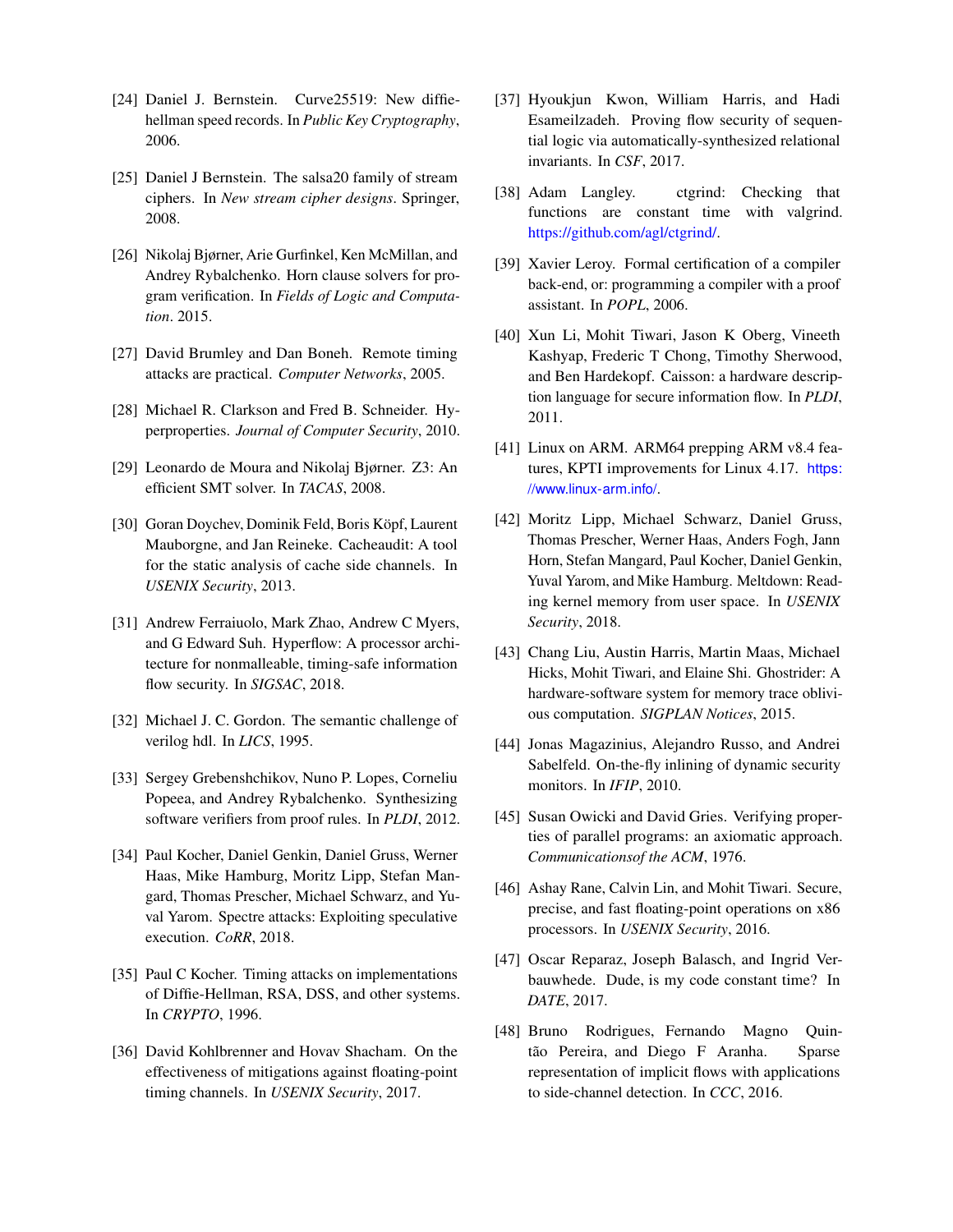- [24] Daniel J. Bernstein. Curve25519: New diffiehellman speed records. In *Public Key Cryptography*, 2006.
- <span id="page-15-0"></span>[25] Daniel J Bernstein. The salsa20 family of stream ciphers. In *New stream cipher designs*. Springer, 2008.
- <span id="page-15-11"></span>[26] Nikolaj Bjørner, Arie Gurfinkel, Ken McMillan, and Andrey Rybalchenko. Horn clause solvers for program verification. In *Fields of Logic and Computation*. 2015.
- <span id="page-15-7"></span>[27] David Brumley and Dan Boneh. Remote timing attacks are practical. *Computer Networks*, 2005.
- <span id="page-15-16"></span>[28] Michael R. Clarkson and Fred B. Schneider. Hyperproperties. *Journal of Computer Security*, 2010.
- <span id="page-15-13"></span>[29] Leonardo de Moura and Nikolaj Bjørner. Z3: An efficient SMT solver. In *TACAS*, 2008.
- <span id="page-15-21"></span>[30] Goran Doychev, Dominik Feld, Boris Köpf, Laurent Mauborgne, and Jan Reineke. Cacheaudit: A tool for the static analysis of cache side channels. In *USENIX Security*, 2013.
- <span id="page-15-19"></span>[31] Andrew Ferraiuolo, Mark Zhao, Andrew C Myers, and G Edward Suh. Hyperflow: A processor architecture for nonmalleable, timing-safe information flow security. In *SIGSAC*, 2018.
- <span id="page-15-10"></span>[32] Michael J. C. Gordon. The semantic challenge of verilog hdl. In *LICS*, 1995.
- <span id="page-15-12"></span>[33] Sergey Grebenshchikov, Nuno P. Lopes, Corneliu Popeea, and Andrey Rybalchenko. Synthesizing software verifiers from proof rules. In *PLDI*, 2012.
- <span id="page-15-1"></span>[34] Paul Kocher, Daniel Genkin, Daniel Gruss, Werner Haas, Mike Hamburg, Moritz Lipp, Stefan Mangard, Thomas Prescher, Michael Schwarz, and Yuval Yarom. Spectre attacks: Exploiting speculative execution. *CoRR*, 2018.
- <span id="page-15-8"></span>[35] Paul C Kocher. Timing attacks on implementations of Diffie-Hellman, RSA, DSS, and other systems. In *CRYPTO*, 1996.
- <span id="page-15-2"></span>[36] David Kohlbrenner and Hovav Shacham. On the effectiveness of mitigations against floating-point timing channels. In *USENIX Security*, 2017.
- <span id="page-15-17"></span>[37] Hyoukjun Kwon, William Harris, and Hadi Esameilzadeh. Proving flow security of sequential logic via automatically-synthesized relational invariants. In *CSF*, 2017.
- <span id="page-15-22"></span>[38] Adam Langley. ctgrind: Checking that functions are constant time with valgrind. [https://github.com/agl/ctgrind/.](https://github.com/agl/ctgrind/)
- <span id="page-15-14"></span>[39] Xavier Leroy. Formal certification of a compiler back-end, or: programming a compiler with a proof assistant. In *POPL*, 2006.
- <span id="page-15-18"></span>[40] Xun Li, Mohit Tiwari, Jason K Oberg, Vineeth Kashyap, Frederic T Chong, Timothy Sherwood, and Ben Hardekopf. Caisson: a hardware description language for secure information flow. In *PLDI*, 2011.
- <span id="page-15-5"></span>[41] Linux on ARM. ARM64 prepping ARM v8.4 features, KPTI improvements for Linux 4.17. [https:](https://www.linux-arm.info/) [//www.linux-arm.info/](https://www.linux-arm.info/).
- <span id="page-15-3"></span>[42] Moritz Lipp, Michael Schwarz, Daniel Gruss, Thomas Prescher, Werner Haas, Anders Fogh, Jann Horn, Stefan Mangard, Paul Kocher, Daniel Genkin, Yuval Yarom, and Mike Hamburg. Meltdown: Reading kernel memory from user space. In *USENIX Security*, 2018.
- <span id="page-15-20"></span>[43] Chang Liu, Austin Harris, Martin Maas, Michael Hicks, Mohit Tiwari, and Elaine Shi. Ghostrider: A hardware-software system for memory trace oblivious computation. *SIGPLAN Notices*, 2015.
- <span id="page-15-6"></span>[44] Jonas Magazinius, Alejandro Russo, and Andrei Sabelfeld. On-the-fly inlining of dynamic security monitors. In *IFIP*, 2010.
- <span id="page-15-9"></span>[45] Susan Owicki and David Gries. Verifying properties of parallel programs: an axiomatic approach. *Communicationsof the ACM*, 1976.
- <span id="page-15-4"></span>[46] Ashay Rane, Calvin Lin, and Mohit Tiwari. Secure, precise, and fast floating-point operations on x86 processors. In *USENIX Security*, 2016.
- <span id="page-15-15"></span>[47] Oscar Reparaz, Joseph Balasch, and Ingrid Verbauwhede. Dude, is my code constant time? In *DATE*, 2017.
- <span id="page-15-23"></span>[48] Bruno Rodrigues, Fernando Magno Quintão Pereira, and Diego F Aranha. Sparse representation of implicit flows with applications to side-channel detection. In *CCC*, 2016.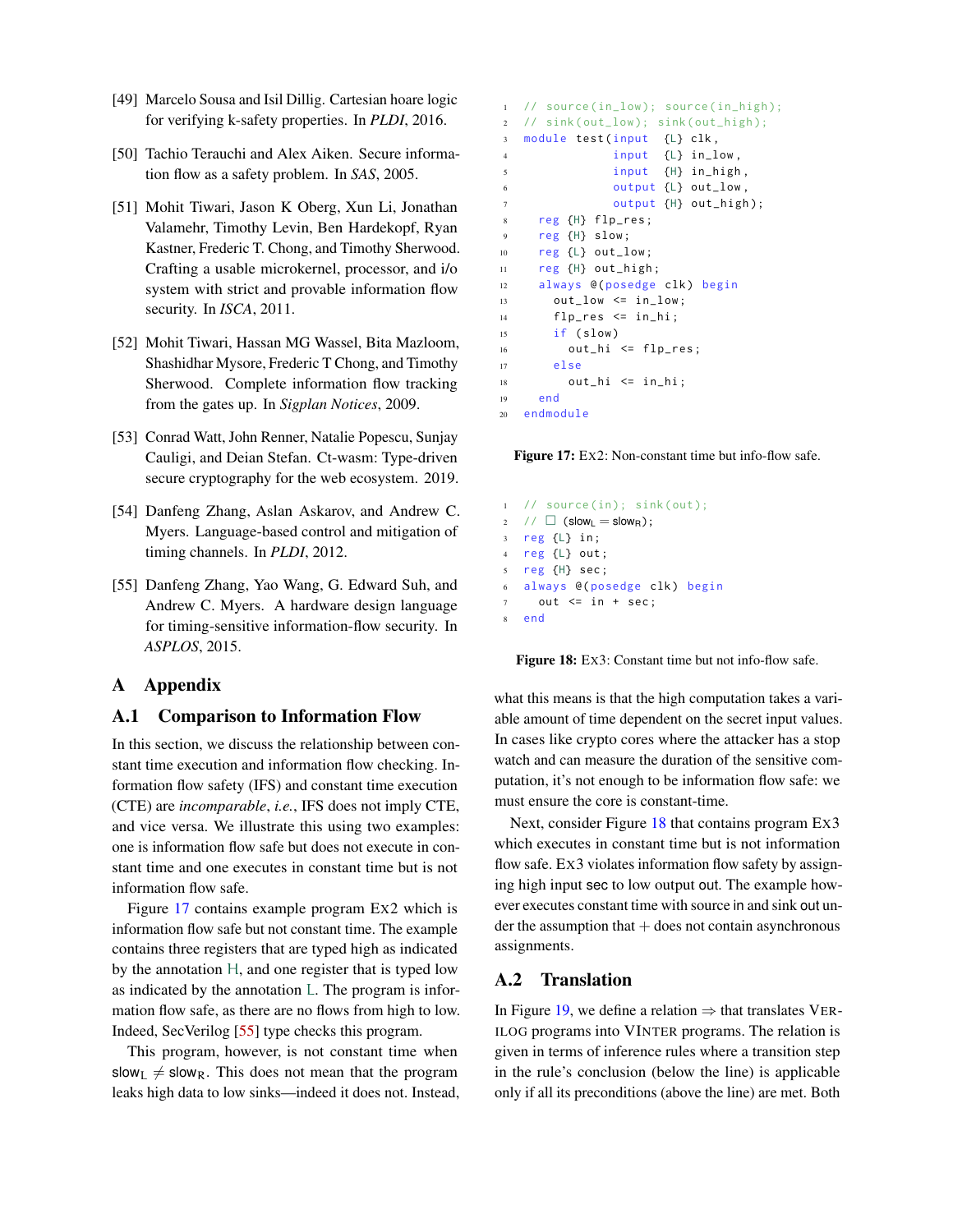- <span id="page-16-5"></span>[49] Marcelo Sousa and Isil Dillig. Cartesian hoare logic for verifying k-safety properties. In *PLDI*, 2016.
- <span id="page-16-4"></span>[50] Tachio Terauchi and Alex Aiken. Secure information flow as a safety problem. In *SAS*, 2005.
- <span id="page-16-6"></span>[51] Mohit Tiwari, Jason K Oberg, Xun Li, Jonathan Valamehr, Timothy Levin, Ben Hardekopf, Ryan Kastner, Frederic T. Chong, and Timothy Sherwood. Crafting a usable microkernel, processor, and i/o system with strict and provable information flow security. In *ISCA*, 2011.
- <span id="page-16-7"></span>[52] Mohit Tiwari, Hassan MG Wassel, Bita Mazloom, Shashidhar Mysore, Frederic T Chong, and Timothy Sherwood. Complete information flow tracking from the gates up. In *Sigplan Notices*, 2009.
- <span id="page-16-2"></span>[53] Conrad Watt, John Renner, Natalie Popescu, Sunjay Cauligi, and Deian Stefan. Ct-wasm: Type-driven secure cryptography for the web ecosystem. 2019.
- <span id="page-16-0"></span>[54] Danfeng Zhang, Aslan Askarov, and Andrew C. Myers. Language-based control and mitigation of timing channels. In *PLDI*, 2012.
- <span id="page-16-1"></span>[55] Danfeng Zhang, Yao Wang, G. Edward Suh, and Andrew C. Myers. A hardware design language for timing-sensitive information-flow security. In *ASPLOS*, 2015.

## A Appendix

#### <span id="page-16-8"></span>A.1 Comparison to Information Flow

In this section, we discuss the relationship between constant time execution and information flow checking. Information flow safety (IFS) and constant time execution (CTE) are *incomparable*, *i.e.*, IFS does not imply CTE, and vice versa. We illustrate this using two examples: one is information flow safe but does not execute in constant time and one executes in constant time but is not information flow safe.

Figure [17](#page-16-9) contains example program EX2 which is information flow safe but not constant time. The example contains three registers that are typed high as indicated by the annotation H, and one register that is typed low as indicated by the annotation L. The program is information flow safe, as there are no flows from high to low. Indeed, SecVerilog [\[55\]](#page-16-1) type checks this program.

This program, however, is not constant time when slow<sub>I</sub>  $\neq$  slow<sub>R</sub>. This does not mean that the program leaks high data to low sinks—indeed it does not. Instead,

```
// source(in_low); source(in_high);
2 // sink ( out_low ); sink ( out_high );
3 module test (input {L} clk,
4 input {L} in_low,
5 input {H} in_high ,
             output {L} out_low,
7 output {H} out_high);
8 reg {H} flp_res ;
9 reg {H} slow ;
10 reg {L} out_low ;
11 reg {H} out_high;
12 always @(posedge clk) begin
13 out_low \leq in_low;
14 flp_res <= in_hi;
15 if ( slow )
16 out_hi <= flp_res ;
17 else
18 out_hi <= in_hi;
19 end
20 endmodule
```
Figure 17: EX2: Non-constant time but info-flow safe.

```
// source(in); sink(out);
  2 / \Box (slow<sub>L</sub> = slow<sub>R</sub>);
3 reg {L} in;
4 reg {L} out ;
5 reg {H} sec ;
6 always @( posedge clk) begin
     out \le in + sec;
8 end
```
Figure 18: EX3: Constant time but not info-flow safe.

what this means is that the high computation takes a variable amount of time dependent on the secret input values. In cases like crypto cores where the attacker has a stop watch and can measure the duration of the sensitive computation, it's not enough to be information flow safe: we must ensure the core is constant-time.

Next, consider Figure [18](#page-16-10) that contains program EX3 which executes in constant time but is not information flow safe. EX3 violates information flow safety by assigning high input sec to low output out. The example however executes constant time with source in and sink out un- $\det$  the assumption that  $+$  does not contain asynchronous assignments.

### <span id="page-16-3"></span>A.2 Translation

In Figure [19,](#page-17-1) we define a relation  $\Rightarrow$  that translates VER-ILOG programs into VINTER programs. The relation is given in terms of inference rules where a transition step in the rule's conclusion (below the line) is applicable only if all its preconditions (above the line) are met. Both